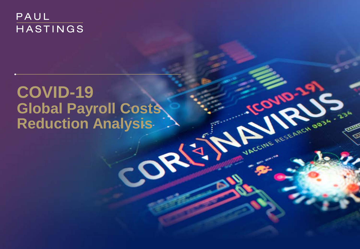# PAUL HASTINGS

# **COVID-19 Global Payroll Costs Reduction Analysis**

Conto.

**MACCINE RESERVED BOOM**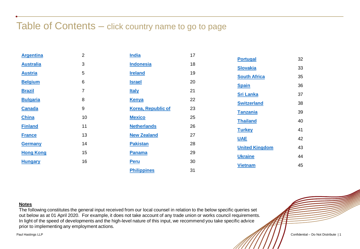### Table of Contents – click country name to go to page

| <b>Argentina</b> | 2  | <b>India</b>              | 17 |                       |    |
|------------------|----|---------------------------|----|-----------------------|----|
| <b>Australia</b> | 3  | <b>Indonesia</b>          | 18 | <b>Portugal</b>       | 32 |
| <b>Austria</b>   | 5  | <b>Ireland</b>            | 19 | <b>Slovakia</b>       | 33 |
| <b>Belgium</b>   | 6  | <b>Israel</b>             | 20 | <b>South Africa</b>   | 35 |
|                  |    |                           |    | <b>Spain</b>          | 36 |
| <b>Brazil</b>    | 7  | <b>Italy</b>              | 21 | <b>Sri Lanka</b>      | 37 |
| <b>Bulgaria</b>  | 8  | <b>Kenya</b>              | 22 | <b>Switzerland</b>    | 38 |
| <b>Canada</b>    | 9  | <b>Korea, Republic of</b> | 23 | <b>Tanzania</b>       | 39 |
| <b>China</b>     | 10 | <b>Mexico</b>             | 25 |                       |    |
| <b>Finland</b>   | 11 | <b>Netherlands</b>        | 26 | <b>Thailand</b>       | 40 |
|                  |    |                           |    | <b>Turkey</b>         | 41 |
| <b>France</b>    | 13 | <b>New Zealand</b>        | 27 | <b>UAE</b>            | 42 |
| <b>Germany</b>   | 14 | <b>Pakistan</b>           | 28 | <b>United Kingdom</b> | 43 |
| <b>Hong Kong</b> | 15 | <b>Panama</b>             | 29 |                       |    |
| <b>Hungary</b>   | 16 | <b>Peru</b>               | 30 | <b>Ukraine</b>        | 44 |
|                  |    |                           | 31 | <b>Vietnam</b>        | 45 |
|                  |    | <b>Philippines</b>        |    |                       |    |

#### **Notes**

The following constitutes the general input received from our local counsel in relation to the below specific queries set out below as at 01 April 2020. For example, it does not take account of any trade union or works council requirements. In light of the speed of developments and the high-level nature of this input, we recommend you take specific advice prior to implementing any employment actions.

Paul Hastings LLP

Confidential – Do Not Distribute | 1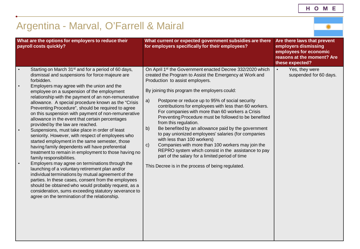# <span id="page-2-0"></span>Argentina - Marval, O'Farrell & Mairal

|                                                  | What are the options for employers to reduce their<br>payroll costs quickly?                                                                                                                                                                                                                                                                                                                                                                                                                                                                                                                                                                                                                                                                                                                                                                                                                                                                                                                                                                                                                                                                                                                                                       | What current or expected government subsidies are there<br>for employers specifically for their employees?                                                                                                                                                                                                                                                                                                                                                                                                                                                                                                                                                                                                                                                                                                                                                          | Are there laws that prevent<br>employers dismissing<br>employees for economic<br>reasons at the moment? Are<br>these expected? |
|--------------------------------------------------|------------------------------------------------------------------------------------------------------------------------------------------------------------------------------------------------------------------------------------------------------------------------------------------------------------------------------------------------------------------------------------------------------------------------------------------------------------------------------------------------------------------------------------------------------------------------------------------------------------------------------------------------------------------------------------------------------------------------------------------------------------------------------------------------------------------------------------------------------------------------------------------------------------------------------------------------------------------------------------------------------------------------------------------------------------------------------------------------------------------------------------------------------------------------------------------------------------------------------------|---------------------------------------------------------------------------------------------------------------------------------------------------------------------------------------------------------------------------------------------------------------------------------------------------------------------------------------------------------------------------------------------------------------------------------------------------------------------------------------------------------------------------------------------------------------------------------------------------------------------------------------------------------------------------------------------------------------------------------------------------------------------------------------------------------------------------------------------------------------------|--------------------------------------------------------------------------------------------------------------------------------|
| $\bullet$<br>$\bullet$<br>$\bullet$<br>$\bullet$ | Starting on March 31 <sup>st</sup> and for a period of 60 days,<br>dismissal and suspensions for force majeure are<br>forbidden.<br>Employers may agree with the union and the<br>employee on a suspension of the employment<br>relationship with the payment of an non-remunerative<br>allowance. A special procedure known as the "Crisis<br>Preventing Procedure", should be required to agree<br>on this suspension with payment of non-remunerative<br>allowance in the event that certain percentages<br>provided by the law are reached.<br>Suspensions, must take place in order of least<br>seniority. However, with respect of employees who<br>started employment in the same semester, those<br>having family dependents will have preferential<br>treatment to remain in employment to those having no<br>family responsibilities.<br>Employers may agree on terminations through the<br>launching of a voluntary retirement plan and/or<br>individual terminations by mutual agreement of the<br>parties. In these cases, consent from the employees<br>should be obtained who would probably request, as a<br>consideration, sums exceeding statutory severance to<br>agree on the termination of the relationship. | On April 1 <sup>st</sup> the Government enacted Decree 332/2020 which<br>created the Program to Assist the Emergency at Work and<br>Production to assist employers.<br>By joining this program the employers could:<br>a)<br>Postpone or reduce up to 95% of social security<br>contributions for employees with less than 60 workers.<br>For companies with more than 60 workers a Crisis<br>Preventing Procedure must be followed to be benefited<br>from this regulation.<br>Be benefited by an allowance paid by the government<br>b)<br>to pay unionized employees' salaries (for companies<br>with less than 100 workers)<br>Companies with more than 100 workers may join the<br>$\mathsf{C}$<br>REPRO system which consist in the assistance to pay<br>part of the salary for a limited period of time<br>This Decree is in the process of being regulated. | Yes, they were<br>$\bullet$<br>suspended for 60 days.                                                                          |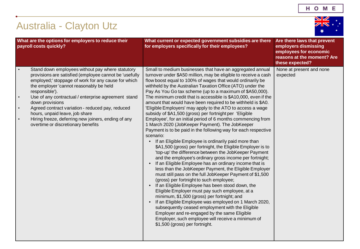

# <span id="page-3-0"></span>Australia - Clayton Utz

| What are the options for employers to reduce their<br>payroll costs quickly?                                                                                                                                                                                                                                                                                                                                                                                                                                                       | What current or expected government subsidies are there<br>for employers specifically for their employees?                                                                                                                                                                                                                                                                                                                                                                                                                                                                                                                                                                                                                                                                                                                                                                                                                                                                                                                                                                                                                                                                                                                                                                                                                                                                                                                                                                                                                                                                                                                                                        | Are there laws that prevent<br>employers dismissing<br>employees for economic<br>reasons at the moment? Are<br>these expected? |
|------------------------------------------------------------------------------------------------------------------------------------------------------------------------------------------------------------------------------------------------------------------------------------------------------------------------------------------------------------------------------------------------------------------------------------------------------------------------------------------------------------------------------------|-------------------------------------------------------------------------------------------------------------------------------------------------------------------------------------------------------------------------------------------------------------------------------------------------------------------------------------------------------------------------------------------------------------------------------------------------------------------------------------------------------------------------------------------------------------------------------------------------------------------------------------------------------------------------------------------------------------------------------------------------------------------------------------------------------------------------------------------------------------------------------------------------------------------------------------------------------------------------------------------------------------------------------------------------------------------------------------------------------------------------------------------------------------------------------------------------------------------------------------------------------------------------------------------------------------------------------------------------------------------------------------------------------------------------------------------------------------------------------------------------------------------------------------------------------------------------------------------------------------------------------------------------------------------|--------------------------------------------------------------------------------------------------------------------------------|
| Stand down employees without pay where statutory<br>provisions are satisfied (employee cannot be 'usefully<br>employed;' stoppage of work for any cause for which<br>the employer 'cannot reasonably be held<br>responsible').<br>Use of any contractual / enterprise agreement stand<br>$\bullet$<br>down provisions<br>Agreed contract variation - reduced pay, reduced<br>$\bullet$<br>hours, unpaid leave, job share<br>Hiring freeze, deferring new joiners, ending of any<br>$\bullet$<br>overtime or discretionary benefits | Small to medium businesses that have an aggregated annual<br>turnover under \$A50 million, may be eligible to receive a cash<br>flow boost equal to 100% of wages that would ordinarily be<br>withheld by the Australian Taxation Office (ATO) under the<br>Pay As You Go tax scheme (up to a maximum of \$A50,000).<br>The minimum credit that is accessible is \$A10,000, even if the<br>amount that would have been required to be withheld is \$A0.<br>'Eligible Employers' may apply to the ATO to access a wage<br>subsidy of \$A1,500 (gross) per fortnight per 'Eligible<br>Employee', for an initial period of 6 months commencing from<br>1 March 2020 (JobKeeper Payment). The JobKeeper<br>Payment is to be paid in the following way for each respective<br>scenario:<br>If an Eligible Employee is ordinarily paid more than<br>\$A1,500 (gross) per fortnight, the Eligible Employer is to<br>'top-up' the difference between the JobKeeper Payment<br>and the employee's ordinary gross income per fortnight;<br>If an Eligible Employee has an ordinary income that is<br>less than the JobKeeper Payment, the Eligible Employer<br>must still pass on the full JobKeeper Payment of \$1,500<br>(gross) per fortnight to such employee;<br>If an Eligible Employee has been stood down, the<br>Eligible Employer must pay such employee, at a<br>minimum, \$1,500 (gross) per fortnight; and<br>If an Eligible Employee was employed on 1 March 2020,<br>subsequently ceased employment with the Eligible<br>Employer and re-engaged by the same Eligible<br>Employer, such employee will receive a minimum of<br>\$1,500 (gross) per fortnight. | None at present and none<br>expected                                                                                           |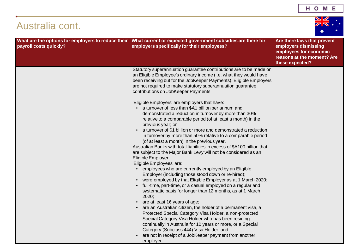| Australia cont.                                                              |                                                                                                                                                                                                                                                                                                                                                                                                                                                                                                                                                                                                                                                                                               |                                                                                                                                |  |
|------------------------------------------------------------------------------|-----------------------------------------------------------------------------------------------------------------------------------------------------------------------------------------------------------------------------------------------------------------------------------------------------------------------------------------------------------------------------------------------------------------------------------------------------------------------------------------------------------------------------------------------------------------------------------------------------------------------------------------------------------------------------------------------|--------------------------------------------------------------------------------------------------------------------------------|--|
| What are the options for employers to reduce their<br>payroll costs quickly? | What current or expected government subsidies are there for<br>employers specifically for their employees?                                                                                                                                                                                                                                                                                                                                                                                                                                                                                                                                                                                    | Are there laws that prevent<br>employers dismissing<br>employees for economic<br>reasons at the moment? Are<br>these expected? |  |
|                                                                              | Statutory superannuation guarantee contributions are to be made on<br>an Eligible Employee's ordinary income (i.e. what they would have<br>been receiving but for the JobKeeper Payments). Eligible Employers<br>are not required to make statutory superannuation guarantee<br>contributions on JobKeeper Payments.                                                                                                                                                                                                                                                                                                                                                                          |                                                                                                                                |  |
|                                                                              | 'Eligible Employers' are employers that have:<br>a turnover of less than \$A1 billion per annum and<br>demonstrated a reduction in turnover by more than 30%<br>relative to a comparable period (of at least a month) in the<br>previous year; or<br>• a turnover of \$1 billion or more and demonstrated a reduction<br>in turnover by more than 50% relative to a comparable period<br>(of at least a month) in the previous year.<br>Australian Banks with total liabilities in excess of \$A100 billion that<br>are subject to the Major Bank Levy will not be considered as an<br>Eligible Employer.<br>'Eligible Employees' are:<br>employees who are currently employed by an Eligible |                                                                                                                                |  |
|                                                                              | Employer (including those stood down or re-hired);<br>were employed by that Eligible Employer as at 1 March 2020;<br>• full-time, part-time, or a casual employed on a regular and<br>systematic basis for longer than 12 months, as at 1 March<br>2020;<br>are at least 16 years of age;<br>are an Australian citizen, the holder of a permanent visa, a<br>Protected Special Category Visa Holder, a non-protected<br>Special Category Visa Holder who has been residing<br>continually in Australia for 10 years or more, or a Special<br>Category (Subclass 444) Visa Holder; and<br>are not in receipt of a JobKeeper payment from another<br>employer.                                  |                                                                                                                                |  |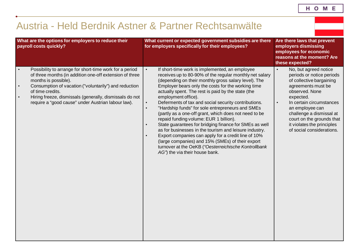## <span id="page-5-0"></span>Austria - Held Berdnik Astner & Partner Rechtsanwälte

| What are the options for employers to reduce their<br>payroll costs quickly?                                                                                                                                                                                                                                                                                                    | What current or expected government subsidies are there<br>for employers specifically for their employees?                                                                                                                                                                                                                                                                                                                                                                                                                                                                                                                                                                                                                                                                                                                                                                                                    | Are there laws that prevent<br>employers dismissing<br>employees for economic<br>reasons at the moment? Are<br>these expected?                                                                                                                                                                                                   |
|---------------------------------------------------------------------------------------------------------------------------------------------------------------------------------------------------------------------------------------------------------------------------------------------------------------------------------------------------------------------------------|---------------------------------------------------------------------------------------------------------------------------------------------------------------------------------------------------------------------------------------------------------------------------------------------------------------------------------------------------------------------------------------------------------------------------------------------------------------------------------------------------------------------------------------------------------------------------------------------------------------------------------------------------------------------------------------------------------------------------------------------------------------------------------------------------------------------------------------------------------------------------------------------------------------|----------------------------------------------------------------------------------------------------------------------------------------------------------------------------------------------------------------------------------------------------------------------------------------------------------------------------------|
| Possibility to arrange for short-time work for a period<br>$\bullet$<br>of three months (in addition one-off extension of three<br>months is possible).<br>Consumption of vacation ("voluntarily") and reduction<br>$\bullet$<br>of time credits.<br>Hiring freeze, dismissals (generally, dismissals do not<br>$\bullet$<br>require a "good cause" under Austrian labour law). | If short-time work is implemented, an employee<br>$\bullet$<br>receives up to 80-90% of the regular monthly net salary<br>(depending on their monthly gross salary level). The<br>Employer bears only the costs for the working time<br>actually spent. The rest is paid by the state (the<br>employment office).<br>Deferments of tax and social security contributions.<br>$\bullet$<br>"Hardship funds" for sole entrepreneurs and SMEs<br>$\bullet$<br>(partly as a one-off grant, which does not need to be<br>repaid funding volume: EUR 1 billion).<br>State guarantees for bridging finance for SMEs as well<br>$\bullet$<br>as for businesses in the tourism and leisure industry.<br>Export companies can apply for a credit line of 10%<br>$\bullet$<br>(large companies) and 15% (SMEs) of their export<br>turnover at the OeKB ("Oesterreichische Kontrollbank<br>AG") the via their house bank. | No, but agreed notice<br>$\bullet$<br>periods or notice periods<br>of collective bargaining<br>agreements must be<br>observed. None<br>expected.<br>$\bullet$<br>In certain circumstances<br>an employee can<br>challenge a dismissal at<br>court on the grounds that<br>it violates the principles<br>of social considerations. |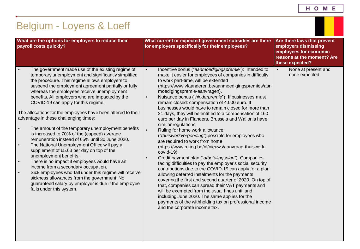| н | О | M | Е |
|---|---|---|---|
|---|---|---|---|

<span id="page-6-0"></span>

| Belgium - Loyens & Loeff                                                                                                                                                                                                                                                                                                                                                                                                                                                                                                                                                                                                                                                                                                                                                                                                                                                                                                                                                                                                                                                     |                                                                                                                                                                                                                                                                                                                                                                                                                                                                                                                                                                                                                                                                                                                                                                                                                                                                                                                                                                                                                                                                                                                                                                                                                                                                                                                                   |                                                                                                                                |  |
|------------------------------------------------------------------------------------------------------------------------------------------------------------------------------------------------------------------------------------------------------------------------------------------------------------------------------------------------------------------------------------------------------------------------------------------------------------------------------------------------------------------------------------------------------------------------------------------------------------------------------------------------------------------------------------------------------------------------------------------------------------------------------------------------------------------------------------------------------------------------------------------------------------------------------------------------------------------------------------------------------------------------------------------------------------------------------|-----------------------------------------------------------------------------------------------------------------------------------------------------------------------------------------------------------------------------------------------------------------------------------------------------------------------------------------------------------------------------------------------------------------------------------------------------------------------------------------------------------------------------------------------------------------------------------------------------------------------------------------------------------------------------------------------------------------------------------------------------------------------------------------------------------------------------------------------------------------------------------------------------------------------------------------------------------------------------------------------------------------------------------------------------------------------------------------------------------------------------------------------------------------------------------------------------------------------------------------------------------------------------------------------------------------------------------|--------------------------------------------------------------------------------------------------------------------------------|--|
| What are the options for employers to reduce their<br>payroll costs quickly?                                                                                                                                                                                                                                                                                                                                                                                                                                                                                                                                                                                                                                                                                                                                                                                                                                                                                                                                                                                                 | What current or expected government subsidies are there<br>for employers specifically for their employees?                                                                                                                                                                                                                                                                                                                                                                                                                                                                                                                                                                                                                                                                                                                                                                                                                                                                                                                                                                                                                                                                                                                                                                                                                        | Are there laws that prevent<br>employers dismissing<br>employees for economic<br>reasons at the moment? Are<br>these expected? |  |
| The government made use of the existing regime of<br>temporary unemployment and significantly simplified<br>the procedure. This regime allows employers to<br>suspend the employment agreement partially or fully,<br>whereas the employees receive unemployment<br>benefits. All employers who are impacted by the<br>COVID-19 can apply for this regime.<br>The allocations for the employees have been altered to their<br>advantage in these challenging times:<br>The amount of the temporary unemployment benefits<br>$\bullet$<br>is increased to 70% of the (capped) average<br>remuneration instead of 65% until 30 June 2020.<br>The National Unemployment Office will pay a<br>$\bullet$<br>supplement of €5.63 per day on top of the<br>unemployment benefits.<br>There is no impact if employees would have an<br>$\bullet$<br>income from a secondary occupation.<br>Sick employees who fall under this regime will receive<br>sickness allowances from the government. No<br>guaranteed salary by employer is due if the employee<br>falls under this system. | Incentive bonus ("aanmoedigingspremie"): Intended to<br>$\bullet$<br>make it easier for employees of companies in difficulty<br>to work part-time, will be extended<br>(https://www.vlaanderen.be/aanmoedigingspremies/aan<br>moedigingspremie-aanvragen).<br>Nuisance bonus ("hinderpremie"): If businesses must<br>$\bullet$<br>remain closed: compensation of 4.000 euro. If<br>businesses would have to remain closed for more than<br>21 days, they will be entitled to a compensation of 160<br>euro per day in Flanders. Brussels and Wallonia have<br>similar regulations.<br>Ruling for home work allowance<br>("thuiswerkvergoeding") possible for employees who<br>are required to work from home<br>(https://www.ruling.be/nl/nieuws/aanvraag-thuiswerk-<br>covid-19).<br>Credit payment plan ("afbetalingsplan"): Companies<br>facing difficulties to pay the employer's social security<br>contributions due to the COVID-19 can apply for a plan<br>allowing deferred instalments for the payments<br>covering the first and second quarter of 2020. On top of<br>that, companies can spread their VAT payments and<br>will be exempted from the usual fines until and<br>including June 2020. The same applies for the<br>payments of the withholding tax on professional income<br>and the corporate income tax. | None at present and<br>$\bullet$<br>none expected.                                                                             |  |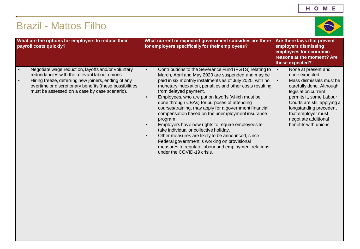# <span id="page-7-0"></span>Brazil - Mattos Filho



legislation current permits it, some Labour Courts are still applying a longstanding precedent that employer must negotiate additional

| What are the options for employers to reduce their<br>payroll costs quickly?                                                                                                                                                                                                                     | What current or expected government subsidies are there<br>for employers specifically for their employees?                                                                                                                                                                                                                                                                                                                                                                                                                                                                                                                                                                                                                                                                                                                               | Are there laws that prevent<br>employers dismissing<br>employees for economic<br>reasons at the moment? Are<br>these expected?                                                                                                                                                                        |
|--------------------------------------------------------------------------------------------------------------------------------------------------------------------------------------------------------------------------------------------------------------------------------------------------|------------------------------------------------------------------------------------------------------------------------------------------------------------------------------------------------------------------------------------------------------------------------------------------------------------------------------------------------------------------------------------------------------------------------------------------------------------------------------------------------------------------------------------------------------------------------------------------------------------------------------------------------------------------------------------------------------------------------------------------------------------------------------------------------------------------------------------------|-------------------------------------------------------------------------------------------------------------------------------------------------------------------------------------------------------------------------------------------------------------------------------------------------------|
| Negotiate wage reduction, layoffs and/or voluntary<br>$\bullet$<br>redundancies with the relevant labour unions.<br>Hiring freeze, deferring new joiners, ending of any<br>$\bullet$<br>overtime or discretionary benefits (these possibilities<br>must be assessed on a case by case scenario). | $\bullet$<br>Contributions to the Severance Fund (FGTS) relating to<br>March, April and May 2020 are suspended and may be<br>paid in six monthly instalments as of July 2020, with no<br>monetary indexation, penalties and other costs resulting<br>from delayed payment.<br>Employees, who are put on layoffs (which must be<br>$\bullet$<br>done through CBAs) for purposes of attending<br>courses/training, may apply for a government financial<br>compensation based on the unemployment insurance<br>program.<br>Employers have new rights to require employees to<br>$\bullet$<br>take individual or collective holiday.<br>Other measures are likely to be announced, since<br>$\bullet$<br>Federal government is working on provisional<br>measures to regulate labour and employment relations<br>under the COVID-19 crisis. | $\bullet$<br>None at present and<br>none expected.<br>Mass dismissals must b<br>$\bullet$<br>carefully done. Although<br>legislation current<br>permits it, some Labour<br>Courts are still applying<br>longstanding precedent<br>that employer must<br>negotiate additional<br>benefits with unions. |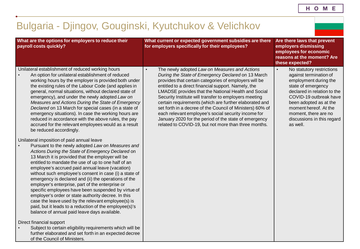#### <span id="page-8-0"></span>further elaborated and set forth in an expected decree Bulgaria - Djingov, Gouginski, Kyutchukov & Velichkov **What are the options for employers to reduce their payroll costs quickly? What current or expected government subsidies are there for employers specifically for their employees? Are there laws that prevent employers dismissing employees for economic reasons at the moment? Are these expected?** Unilateral establishment of reduced working hours • An option for unilateral establishment of reduced working hours by the employer is provided both under the existing rules of the Labour Code (and applies in general, normal situations, without declared state of emergency), and under the newly adopted *Law on Measures and Actions During the State of Emergency Declared* on 13 March for special cases (in a state of emergency situations). In case the working hours are reduced in accordance with the above rules, the pay accrued for the relevant employees would as a result be reduced accordingly. Unilateral imposition of paid annual leave • Pursuant to the newly adopted *Law on Measures and Actions During the State of Emergency Declared* on 13 March it is provided that the employer will be entitled to mandate the use of up to one half of an employee's accrued paid annual leave (vacation) without such employee's consent in case (i) a state of emergency is declared and (ii) the operations of the employer's enterprise, part of the enterprise or specific employees have been suspended by virtue of employer's order or state authority decree. In this case the leave used by the relevant employee(s) is paid, but it leads to a reduction of the employee(s)'s balance of annual paid leave days available. Direct financial support • Subject to certain eligibility requirements which will be of the Council of Ministers. • The newly adopted *Law on Measures and Actions During the State of Emergency Declared* on 13 March provides that certain categories of employers will be entitled to a direct financial support. Namely, the LMADSE provides that the National Health and Social Security Institute will transfer to employers meeting certain requirements (which are further elaborated and set forth in a decree of the Council of Ministers) 60% of each relevant employee's social security income for January 2020 for the period of the state of emergency related to COVID-19, but not more than three months. • No statutory restrictions against termination of employment during the state of emergency declared in relation to the COVID-19 outbreak have been adopted as at the moment hereof. At the moment, there are no discussions in this regard as well.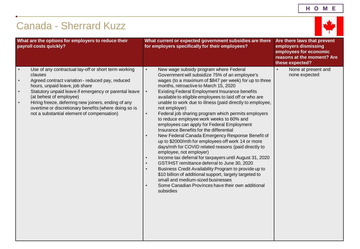# <span id="page-9-0"></span>Canada - Sherrard Kuzz



|                                                  | What are the options for employers to reduce their<br>payroll costs quickly?                                                                                                                                                                                                                                                                                                                            | What current or expected government subsidies are there<br>for employers specifically for their employees?                                                                                                                                                                                                                                                                                                                                                                                                                                                                                                                                                                                                                                                                                                                                                                                                                                                                                                                                                                                                                                                                                                             | Are there laws that prevent<br>employers dismissing<br>employees for economic<br>reasons at the moment? Are<br>these expected? |
|--------------------------------------------------|---------------------------------------------------------------------------------------------------------------------------------------------------------------------------------------------------------------------------------------------------------------------------------------------------------------------------------------------------------------------------------------------------------|------------------------------------------------------------------------------------------------------------------------------------------------------------------------------------------------------------------------------------------------------------------------------------------------------------------------------------------------------------------------------------------------------------------------------------------------------------------------------------------------------------------------------------------------------------------------------------------------------------------------------------------------------------------------------------------------------------------------------------------------------------------------------------------------------------------------------------------------------------------------------------------------------------------------------------------------------------------------------------------------------------------------------------------------------------------------------------------------------------------------------------------------------------------------------------------------------------------------|--------------------------------------------------------------------------------------------------------------------------------|
| $\bullet$<br>$\bullet$<br>$\bullet$<br>$\bullet$ | Use of any contractual lay-off or short term working<br>clauses<br>Agreed contract variation - reduced pay, reduced<br>hours, unpaid leave, job share<br>Statutory unpaid leave if emergency or parental leave<br>(at behest of employee)<br>Hiring freeze, deferring new joiners, ending of any<br>overtime or discretionary benefits (where doing so is<br>not a substantial element of compensation) | New wage subsidy program where Federal<br>$\bullet$<br>Government will subsidize 75% of an employee's<br>wages (to a maximum of \$847 per week) for up to three<br>months, retroactive to March 15, 2020<br><b>Existing Federal Employment Insurance benefits</b><br>$\bullet$<br>available to eligible employees to laid off or who are<br>unable to work due to illness (paid directly to employee,<br>not employer)<br>Federal job sharing program which permits employers<br>$\bullet$<br>to reduce employee work weeks to 60% and<br>employees can apply for Federal Employment<br>Insurance Benefits for the differential<br>New Federal Canada Emergency Response Benefit of<br>$\bullet$<br>up to \$2000/mth for employees off work 14 or more<br>days/mth for COVID related reasons (paid directly to<br>employee, not employer)<br>Income tax deferral for taxpayers until August 31, 2020<br>$\bullet$<br>GST/HST remittance deferral to June 30, 2020<br>$\bullet$<br>Business Credit Availability Program to provide up to<br>$\bullet$<br>\$10 billion of additional support, largely targeted to<br>small and medium-sized businesses<br>Some Canadian Provinces have their own additional<br>subsidies | None at present and<br>$\bullet$<br>none expected                                                                              |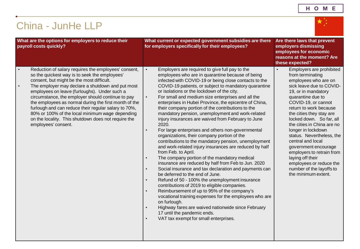### HOME

 $\overline{\star^{\ast}_{\scriptscriptstyle\star\atop \scriptscriptstyle\star}}$ 

# <span id="page-10-0"></span>China - JunHe LLP

| What are the options for employers to reduce their<br>payroll costs quickly?                                                                                                                                                                                                                                                                                                                                                                                                                                                                                                            | What current or expected government subsidies are there<br>for employers specifically for their employees?                                                                                                                                                                                                                                                                                                                                                                                                                                                                                                                                                                                                                                                                                                                                                                                                                                                                                                                                                                                                                                                                                                                                                                                                                                                                                                                                                                 | Are there laws that prevent<br>employers dismissing<br>employees for economic<br>reasons at the moment? Are<br>these expected?                                                                                                                                                                                                                                                                                                                                                                                                  |
|-----------------------------------------------------------------------------------------------------------------------------------------------------------------------------------------------------------------------------------------------------------------------------------------------------------------------------------------------------------------------------------------------------------------------------------------------------------------------------------------------------------------------------------------------------------------------------------------|----------------------------------------------------------------------------------------------------------------------------------------------------------------------------------------------------------------------------------------------------------------------------------------------------------------------------------------------------------------------------------------------------------------------------------------------------------------------------------------------------------------------------------------------------------------------------------------------------------------------------------------------------------------------------------------------------------------------------------------------------------------------------------------------------------------------------------------------------------------------------------------------------------------------------------------------------------------------------------------------------------------------------------------------------------------------------------------------------------------------------------------------------------------------------------------------------------------------------------------------------------------------------------------------------------------------------------------------------------------------------------------------------------------------------------------------------------------------------|---------------------------------------------------------------------------------------------------------------------------------------------------------------------------------------------------------------------------------------------------------------------------------------------------------------------------------------------------------------------------------------------------------------------------------------------------------------------------------------------------------------------------------|
| Reduction of salary requires the employees' consent,<br>$\bullet$<br>so the quickest way is to seek the employees'<br>consent, but might be the most difficult.<br>The employer may declare a shutdown and put most<br>$\bullet$<br>employees on leave (furloughs). Under such a<br>circumstance, the employer should continue to pay<br>the employees as normal during the first month of the<br>furlough and can reduce their regular salary to 70%,<br>80% or 100% of the local minimum wage depending<br>on the locality. This shutdown does not require the<br>employees' consent. | Employers are required to give full pay to the<br>$\bullet$<br>employees who are in quarantine because of being<br>infected with COVID-19 or being close contacts to the<br>COVID-19 patients, or subject to mandatory quarantine<br>or isolations or the lockdown of the city.<br>For small and medium size enterprises and all the<br>$\bullet$<br>enterprises in Hubei Province, the epicentre of China,<br>their company portion of the contributions to the<br>mandatory pension, unemployment and work-related<br>injury insurances are waived from February to June<br>2020.<br>For large enterprises and others non-governmental<br>$\bullet$<br>organizations, their company portion of the<br>contributions to the mandatory pension, unemployment<br>and work-related injury insurances are reduced by half<br>from Feb. to April.<br>The company portion of the mandatory medical<br>$\bullet$<br>insurance are reduced by half from Feb to Jun. 2020<br>Social insurance and tax declaration and payments can<br>$\bullet$<br>be deferred to the end of June.<br>Refund of 50 - 100% the unemployment insurance<br>$\bullet$<br>contributions of 2019 to eligible companies.<br>Reimbursement of up to 95% of the company's<br>$\bullet$<br>vocational training expenses for the employees who are<br>on furlough.<br>Highway fares are waived nationwide since February<br>$\bullet$<br>17 until the pandemic ends.<br>VAT tax exempt for small enterprises. | Employers are prohibited<br>$\bullet$<br>from terminating<br>employees who are on<br>sick leave due to COVID-<br>19, or in mandatory<br>quarantine due to<br>COVID-19, or cannot<br>return to work because<br>the cities they stay are<br>locked down. So far, all<br>the cities in China are no<br>longer in lockdown<br>status. Nevertheless, the<br>central and local<br>government encourage<br>employers to retrain from<br>laying off their<br>employees or reduce the<br>number of the layoffs to<br>the minimum extent. |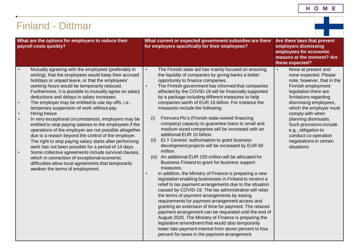- 1

a sa Balance

## <span id="page-11-0"></span>Finland - Dittmar

| What are the options for employers to reduce their<br>payroll costs quickly?                                                                                                                                                                                                                                                                                                                                                                                                                                                                                                                                                                                                                                                                                                                                                                                                                                                                                                                                                                                           | What current or expected government subsidies are there<br>for employers specifically for their employees?                                                                                                                                                                                                                                                                                                                                                                                                                                                                                                                                                                                                                                                                                                                                                                                                                                                                                                                                                                                                                                                                                                                                                                                                                                                                                                                                                                                                                                                                                           | Are there laws that prevent<br>employers dismissing<br>employees for economic<br>reasons at the moment? Are<br>these expected?                                                                                                                                                                                                                                                      |
|------------------------------------------------------------------------------------------------------------------------------------------------------------------------------------------------------------------------------------------------------------------------------------------------------------------------------------------------------------------------------------------------------------------------------------------------------------------------------------------------------------------------------------------------------------------------------------------------------------------------------------------------------------------------------------------------------------------------------------------------------------------------------------------------------------------------------------------------------------------------------------------------------------------------------------------------------------------------------------------------------------------------------------------------------------------------|------------------------------------------------------------------------------------------------------------------------------------------------------------------------------------------------------------------------------------------------------------------------------------------------------------------------------------------------------------------------------------------------------------------------------------------------------------------------------------------------------------------------------------------------------------------------------------------------------------------------------------------------------------------------------------------------------------------------------------------------------------------------------------------------------------------------------------------------------------------------------------------------------------------------------------------------------------------------------------------------------------------------------------------------------------------------------------------------------------------------------------------------------------------------------------------------------------------------------------------------------------------------------------------------------------------------------------------------------------------------------------------------------------------------------------------------------------------------------------------------------------------------------------------------------------------------------------------------------|-------------------------------------------------------------------------------------------------------------------------------------------------------------------------------------------------------------------------------------------------------------------------------------------------------------------------------------------------------------------------------------|
| Mutually agreeing with the employees (preferably in<br>$\bullet$<br>writing), that the employees would keep their accrued<br>holidays or unpaid leave, or that the employees'<br>working hours would be temporarily reduced.<br>Furthermore, it is possible to mutually agree on salary<br>deductions and delays in salary increases.<br>The employer may be entitled to use lay-offs, i.e.,<br>$\bullet$<br>temporary suspension of work without pay.<br>Hiring freeze<br>$\bullet$<br>In very exceptional circumstances, employers may be<br>$\bullet$<br>entitled to stop paying salaries to the employees if the<br>operations of the employer are not possible altogether<br>due to a reason beyond the control of the employer.<br>The right to stop paying salary starts after performing<br>work has not been possible for a period of 14 days.<br>Some collective agreements include survival clauses,<br>$\bullet$<br>which in connection of exceptional economic<br>difficulties allow local agreements that temporarily<br>weaken the terms of employment. | The Finnish state aid has mainly focused on ensuring<br>$\bullet$<br>the liquidity of companies by giving banks a better<br>opportunity to finance companies.<br>The Finnish government has informed that companies<br>$\bullet$<br>affected by the COVID-19 will be financially supported<br>by a package including different measures to help<br>companies worth of EUR 15 billion. For instance the<br>measures include the following:<br>Finnvera Plc's (Finnish state-owned financing<br>(i)<br>company) capacity to guarantee loans to small and<br>medium-sized companies will be increased with an<br>additional EUR 10 billion.<br>ELY Centres' authorisation to grant business<br>(ii)<br>development projects will be increased by EUR 50<br>million.<br>An additional EUR 150 million will be allocated for<br>(iii)<br>Business Finland to grant for business support<br>measures.<br>In addition, the Ministry of Finance is preparing a new<br>$\bullet$<br>legislation enabling businesses in Finland to receive a<br>relief to tax payment arrangements due to the situation<br>caused by COVID-19. The tax administration will relax<br>the terms of payment arrangements by easing<br>requirements for payment arrangement access and<br>granting an extension of time for payment. The relaxed<br>payment arrangement can be requested until the end of<br>August 2020. The Ministry of Finance is preparing the<br>legislative amendment that would also temporarily<br>lower late-payment interest from seven percent to four<br>percent for taxes in the payment arrangement. | None at present and<br>$\bullet$<br>none expected. Please<br>note, however, that in the<br>Finnish employment<br>legislation there are<br>limitations regarding<br>dismissing employees,<br>which the employer must<br>comply with when<br>planning dismissals.<br>Such provisions include<br>e.g., obligation to<br>conduct co-operation<br>negotiations in certain<br>situations. |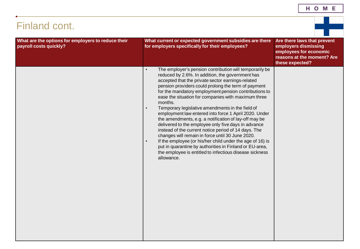# Finland cont.

| What are the options for employers to reduce their<br>payroll costs quickly? | What current or expected government subsidies are there<br>for employers specifically for their employees?                                                                                                                                                                                                                                                                                                                                                                                                                                                                                                                                                                                                                                                                                                                                                                                                                          | Are there laws that prevent<br>employers dismissing<br>employees for economic<br>reasons at the moment? Are<br>these expected? |
|------------------------------------------------------------------------------|-------------------------------------------------------------------------------------------------------------------------------------------------------------------------------------------------------------------------------------------------------------------------------------------------------------------------------------------------------------------------------------------------------------------------------------------------------------------------------------------------------------------------------------------------------------------------------------------------------------------------------------------------------------------------------------------------------------------------------------------------------------------------------------------------------------------------------------------------------------------------------------------------------------------------------------|--------------------------------------------------------------------------------------------------------------------------------|
|                                                                              | The employer's pension contribution will temporarily be<br>$\bullet$<br>reduced by 2.6%. In addition, the government has<br>accepted that the private sector earnings-related<br>pension providers could prolong the term of payment<br>for the mandatory employment pension contributions to<br>ease the situation for companies with maximum three<br>months.<br>Temporary legislative amendments in the field of<br>$\bullet$<br>employment law entered into force 1 April 2020. Under<br>the amendments, e.g. a notification of lay-off may be<br>delivered to the employee only five days in advance<br>instead of the current notice period of 14 days. The<br>changes will remain in force until 30 June 2020.<br>If the employee (or his/her child under the age of 16) is<br>$\bullet$<br>put in quarantine by authorities in Finland or EU-area,<br>the employee is entitled to infectious disease sickness<br>allowance. |                                                                                                                                |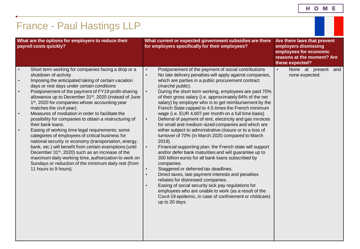<span id="page-13-0"></span>

| What are the options for employers to reduce their<br>payroll costs quickly? |                                                                                                                                                                                                                                                                                                                                                                                                                                                                                                                                                                                                                                                                                                                                                                                                                                                                                                                                                                 | What current or expected government subsidies are there<br>for employers specifically for their employees?                                                                                                                                                                                                                                                                                                                                                                                                                                                                                                                                                                                                                                                                                                                                                                                                                                                                                                                                                                                                                                                                                                                                                                                                                                               | Are there laws that prevent<br>employers dismissing<br>employees for economic<br>reasons at the moment? Are<br>these expected? |  |
|------------------------------------------------------------------------------|-----------------------------------------------------------------------------------------------------------------------------------------------------------------------------------------------------------------------------------------------------------------------------------------------------------------------------------------------------------------------------------------------------------------------------------------------------------------------------------------------------------------------------------------------------------------------------------------------------------------------------------------------------------------------------------------------------------------------------------------------------------------------------------------------------------------------------------------------------------------------------------------------------------------------------------------------------------------|----------------------------------------------------------------------------------------------------------------------------------------------------------------------------------------------------------------------------------------------------------------------------------------------------------------------------------------------------------------------------------------------------------------------------------------------------------------------------------------------------------------------------------------------------------------------------------------------------------------------------------------------------------------------------------------------------------------------------------------------------------------------------------------------------------------------------------------------------------------------------------------------------------------------------------------------------------------------------------------------------------------------------------------------------------------------------------------------------------------------------------------------------------------------------------------------------------------------------------------------------------------------------------------------------------------------------------------------------------|--------------------------------------------------------------------------------------------------------------------------------|--|
| $\bullet$<br>$\bullet$<br>$\bullet$                                          | Short term working for companies facing a drop or a<br>shutdown of activity<br>Imposing the anticipated taking of certain vacation<br>days or rest days under certain conditions<br>Postponement of the payment of FY19 profit-sharing<br>allowance up to December 31 <sup>st</sup> , 2020 (instead of June<br>1st, 2020 for companies whose accounting year<br>matches the civil year).<br>Measures of mediation in order to facilitate the<br>possibility for companies to obtain a restructuring of<br>their bank loans.<br>Easing of working time legal requirements: some<br>categories of employees of critical business for<br>national security or economy (transportation, energy,<br>bank, etc.) will benefit from certain exemptions (until<br>December 31 <sup>st</sup> , 2020) such as an increase of the<br>maximum daily working time, authorization to work on<br>Sundays or reduction of the minimum daily rest (from<br>11 hours to 9 hours). | Postponement of the payment of social contributions<br>$\bullet$<br>No late delivery penalties will apply against companies,<br>$\bullet$<br>which are parties in a public procurement contract<br>(marché public).<br>$\bullet$<br>During the short term working, employees are paid 70%<br>of their gross salary (i.e. approximately 84% of the net<br>salary) by employer who is to get reimbursement by the<br>French State capped to 4.5 times the French minimum<br>wage (i.e. EUR 4,607 per month on a full time basis)<br>Deferral of payment of rent, electricity and gas invoices<br>$\bullet$<br>for small and medium-sized companies and which are<br>either subject to administrative closure or to a loss of<br>turnover of 70% (in March 2020 compared to March<br>$2019$ ).<br>$\bullet$<br>Financial supporting plan: the French state will support<br>and/or defer bank maturities and will guarantee up to<br>300 billion euros for all bank loans subscribed by<br>companies.<br>Staggered or deferred tax deadlines.<br>$\bullet$<br>Direct taxes, late payment interests and penalties<br>$\bullet$<br>rebates for distressed companies.<br>Easing of social security sick pay regulations for<br>employees who are unable to work (as a result of the<br>Covd-19 epidemic, in case of confinement or childcare)<br>up to 20 days. | None at present and<br>$\bullet$<br>none expected.                                                                             |  |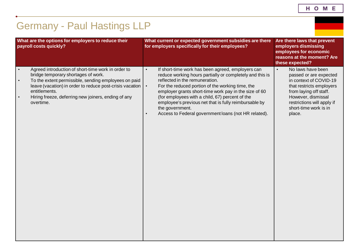| н | О | М | Е |
|---|---|---|---|
|   |   |   |   |

# <span id="page-14-0"></span>Germany - Paul Hastings LLP

| What are the options for employers to reduce their<br>payroll costs quickly?                                                                                                                                                                                                                                                              | What current or expected government subsidies are there<br>for employers specifically for their employees?                                                                                                                                                                                                                                                                                                                                                                                 | Are there laws that prevent<br>employers dismissing<br>employees for economic<br>reasons at the moment? Are<br>these expected?                                                                                                  |  |  |
|-------------------------------------------------------------------------------------------------------------------------------------------------------------------------------------------------------------------------------------------------------------------------------------------------------------------------------------------|--------------------------------------------------------------------------------------------------------------------------------------------------------------------------------------------------------------------------------------------------------------------------------------------------------------------------------------------------------------------------------------------------------------------------------------------------------------------------------------------|---------------------------------------------------------------------------------------------------------------------------------------------------------------------------------------------------------------------------------|--|--|
| Agreed introduction of short-time work in order to<br>$\bullet$<br>bridge temporary shortages of work.<br>To the extent permissible, sending employees on paid<br>$\bullet$<br>leave (vacation) in order to reduce post-crisis vacation<br>entitlements.<br>Hiring freeze, deferring new joiners, ending of any<br>$\bullet$<br>overtime. | If short-time work has been agreed, employers can<br>$\bullet$<br>reduce working hours partially or completely and this is<br>reflected in the remuneration.<br>$\bullet$<br>For the reduced portion of the working time, the<br>employer grants short-time work pay in the size of 60<br>(for employees with a child, 67) percent of the<br>employee's previous net that is fully reimbursable by<br>the government.<br>Access to Federal government loans (not HR related).<br>$\bullet$ | No laws have been<br>$\bullet$<br>passed or are expected<br>in context of COVID-19<br>that restricts employers<br>from laying off staff.<br>However, dismissal<br>restrictions will apply if<br>short-time work is in<br>place. |  |  |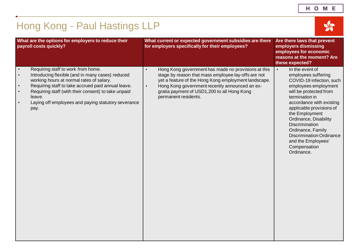# <span id="page-15-0"></span>Hong Kong - Paul Hastings LLP



| What are the options for employers to reduce their<br>payroll costs quickly?                                                                                                                                                                                                                                                                                                 | What current or expected government subsidies are there<br>for employers specifically for their employees?                                                                                                                                                                                                            | Are there laws that prevent<br>employers dismissing<br>employees for economic<br>reasons at the moment? Are<br>these expected?                                                                                                                                                                                                                                                       |
|------------------------------------------------------------------------------------------------------------------------------------------------------------------------------------------------------------------------------------------------------------------------------------------------------------------------------------------------------------------------------|-----------------------------------------------------------------------------------------------------------------------------------------------------------------------------------------------------------------------------------------------------------------------------------------------------------------------|--------------------------------------------------------------------------------------------------------------------------------------------------------------------------------------------------------------------------------------------------------------------------------------------------------------------------------------------------------------------------------------|
| Requiring staff to work from home.<br>$\bullet$<br>Introducing flexible (and in many cases) reduced<br>$\bullet$<br>working hours at normal rates of salary.<br>Requiring staff to take accrued paid annual leave.<br>$\bullet$<br>Requiring staff (with their consent) to take unpaid<br>$\bullet$<br>leave.<br>Laying off employees and paying statutory severance<br>pay. | Hong Kong government has made no provisions at this<br>$\bullet$<br>stage by reason that mass employee lay-offs are not<br>yet a feature of the Hong Kong employment landscape.<br>Hong Kong government recently announced an ex-<br>$\bullet$<br>gratia payment of USD1,200 to all Hong Kong<br>permanent residents. | In the event of<br>$\bullet$<br>employees suffering<br>COVID-19 infection, such<br>employees employment<br>will be protected from<br>termination in<br>accordance with existing<br>applicable provisions of<br>the Employment<br>Ordinance, Disability<br>Discrimination<br>Ordinance, Family<br><b>Discrimination Ordinance</b><br>and the Employees'<br>Compensation<br>Ordinance. |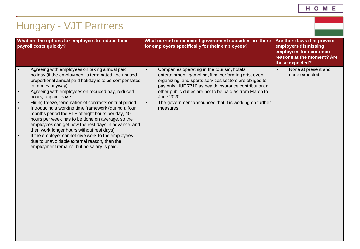| н<br>О<br>M |  |
|-------------|--|
|-------------|--|

# <span id="page-16-0"></span>Hungary - VJT Partners

| What are the options for employers to reduce their<br>payroll costs quickly?                                                                                                                                                                                                                                                                                                                                                                                                                                                                                                                                                                                                                                                                                                                      | What current or expected government subsidies are there<br>for employers specifically for their employees?                                                                                                                                                                                                                                                                                          | Are there laws that prevent<br>employers dismissing<br>employees for economic<br>reasons at the moment? Are<br>these expected? |
|---------------------------------------------------------------------------------------------------------------------------------------------------------------------------------------------------------------------------------------------------------------------------------------------------------------------------------------------------------------------------------------------------------------------------------------------------------------------------------------------------------------------------------------------------------------------------------------------------------------------------------------------------------------------------------------------------------------------------------------------------------------------------------------------------|-----------------------------------------------------------------------------------------------------------------------------------------------------------------------------------------------------------------------------------------------------------------------------------------------------------------------------------------------------------------------------------------------------|--------------------------------------------------------------------------------------------------------------------------------|
| Agreeing with employees on taking annual paid<br>holiday (if the employment is terminated, the unused<br>proportional annual paid holiday is to be compensated<br>in money anyway)<br>Agreeing with employees on reduced pay, reduced<br>$\bullet$<br>hours, unpaid leave<br>Hiring freeze, termination of contracts on trial period<br>$\bullet$<br>Introducing a working time framework (during a four<br>$\bullet$<br>months period the FTE of eight hours per day, 40<br>hours per week has to be done on average, so the<br>employees can get now the rest days in advance, and<br>then work longer hours without rest days)<br>If the employer cannot give work to the employees<br>$\bullet$<br>due to unavoidable external reason, then the<br>employment remains, but no salary is paid. | Companies operating in the tourism, hotels,<br>$\bullet$<br>entertainment, gambling, film, performing arts, event<br>organizing, and sports services sectors are obliged to<br>pay only HUF 7710 as health insurance contribution, all<br>other public duties are not to be paid as from March to<br>June 2020.<br>The government announced that it is working on further<br>$\bullet$<br>measures. | None at present and<br>$\bullet$<br>none expected.                                                                             |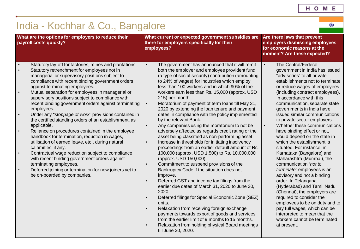$\overline{\odot}$ 

# <span id="page-17-0"></span>India - Kochhar & Co., Bangalore

| What are the options for employers to reduce their<br>payroll costs quickly?                                                                                                                                                                                                                                                                                                                                                                                                                                                                                                                                                                                                                                                                                                                                                                                                                                                                                                                                                           | What current or expected government subsidies are<br>there for employers specifically for their<br>employees?                                                                                                                                                                                                                                                                                                                                                                                                                                                                                                                                                                                                                                                                                                                                                                                                                                                                                                                                                                                                                                                                                                                                                                                                                                                                                                                                                                               | Are there laws that prevent<br>employers dismissing employees<br>for economic reasons at the<br>moment? Are these expected?                                                                                                                                                                                                                                                                                                                                                                                                                                                                                                                                                                                                                                                                                                                                                                                                                   |  |
|----------------------------------------------------------------------------------------------------------------------------------------------------------------------------------------------------------------------------------------------------------------------------------------------------------------------------------------------------------------------------------------------------------------------------------------------------------------------------------------------------------------------------------------------------------------------------------------------------------------------------------------------------------------------------------------------------------------------------------------------------------------------------------------------------------------------------------------------------------------------------------------------------------------------------------------------------------------------------------------------------------------------------------------|---------------------------------------------------------------------------------------------------------------------------------------------------------------------------------------------------------------------------------------------------------------------------------------------------------------------------------------------------------------------------------------------------------------------------------------------------------------------------------------------------------------------------------------------------------------------------------------------------------------------------------------------------------------------------------------------------------------------------------------------------------------------------------------------------------------------------------------------------------------------------------------------------------------------------------------------------------------------------------------------------------------------------------------------------------------------------------------------------------------------------------------------------------------------------------------------------------------------------------------------------------------------------------------------------------------------------------------------------------------------------------------------------------------------------------------------------------------------------------------------|-----------------------------------------------------------------------------------------------------------------------------------------------------------------------------------------------------------------------------------------------------------------------------------------------------------------------------------------------------------------------------------------------------------------------------------------------------------------------------------------------------------------------------------------------------------------------------------------------------------------------------------------------------------------------------------------------------------------------------------------------------------------------------------------------------------------------------------------------------------------------------------------------------------------------------------------------|--|
| Statutory lay-off for factories, mines and plantations.<br>Statutory retrenchment for employees not in<br>managerial or supervisory positions subject to<br>compliance with recent binding government orders<br>against terminating employees.<br>Mutual separation for employees in managerial or<br>$\bullet$<br>supervisory positions subject to compliance with<br>recent binding government orders against terminating<br>employees.<br>Under any "stoppage of work" provisions contained in<br>$\bullet$<br>the certified standing orders of an establishment, as<br>applicable.<br>Reliance on procedures contained in the employee<br>$\bullet$<br>handbook for termination, reduction in wages,<br>utilisation of earned leave, etc., during natural<br>calamities, if any.<br>Contractual wage reduction subject to compliance<br>$\bullet$<br>with recent binding government orders against<br>terminating employees.<br>Deferred joining or termination for new joiners yet to<br>$\bullet$<br>be on-boarded by companies. | The government has announced that it will remit<br>$\bullet$<br>both the employer and employee provident fund<br>(a type of social security) contribution (amounting<br>to 24% of wages) for industries which employ<br>less than 100 workers and in which 90% of the<br>workers earn less than Rs. 15,000 (approx. USD<br>215) per month.<br>Moratorium of payment of term loans till May 31,<br>$\bullet$<br>2020 by extending the loan tenure and payment<br>dates in compliance with the policy implemented<br>by the relevant Bank.<br>Any companies using the moratorium to not be<br>$\bullet$<br>adversely affected as regards credit rating or the<br>asset being classified as non-performing asset.<br>Increase in thresholds for initiating insolvency<br>$\bullet$<br>proceedings from an earlier default amount of Rs.<br>100,000 (approx. USD 1,500) to Rs. 10,000,000<br>(approx. USD 150,000).<br>Commitment to suspend provisions of the<br>$\bullet$<br>Bankruptcy Code if the situation does not<br>improve.<br>Deferred GST and income tax filings from the<br>$\bullet$<br>earlier due dates of March 31, 2020 to June 30,<br>2020.<br>Deferred filings for Special Economic Zone (SEZ)<br>$\bullet$<br>units.<br>Relaxation from receiving foreign exchange<br>$\bullet$<br>payments towards export of goods and services<br>from the earlier limit of 9 months to 15 months.<br>Relaxation from holding physical Board meetings<br>$\bullet$<br>till June 30, 2020. | The Central/Federal<br>government in India has issued<br>"advisories" to all private<br>establishments not to terminate<br>or reduce wages of employees<br>(including contract employees).<br>In accordance with this<br>communication, separate state<br>governments in India have<br>issued similar communications<br>to private sector employers.<br>Whether these communications<br>$\bullet$<br>have binding effect or not,<br>would depend on the state in<br>which the establishment is<br>situated. For instance, in<br>Karnataka (Bangalore) and<br>Maharashtra (Mumbai), the<br>communication "not to<br>terminate" employees is an<br>advisory and not a binding<br>order. In Telangana<br>(Hyderabad) and Tamil Nadu<br>(Chennai), the employers are<br>required to consider the<br>employees to be on duty and to<br>pay full wages, which can be<br>interpreted to mean that the<br>workers cannot be terminated<br>at present. |  |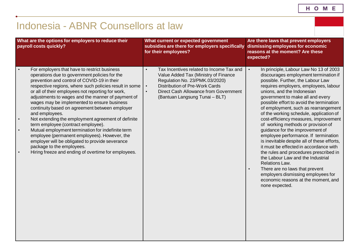# <span id="page-18-0"></span>Indonesia - ABNR Counsellors at law

| What are the options for employers to reduce their<br>payroll costs quickly? |                                                                                                                                                                                                                                                                                                                                                                                                                                                                                                                                                                                                                                                                                                                                                                             | What current or expected government<br>subsidies are there for employers specifically<br>for their employees? |                                                                                                                                                                                                                                 | Are there laws that prevent employers<br>dismissing employees for economic<br>reasons at the moment? Are these<br>expected? |                                                                                                                                                                                                                                                                                                                                                                                                                                                                                                                                                                                                                                                                                                                                                                                                                                                     |
|------------------------------------------------------------------------------|-----------------------------------------------------------------------------------------------------------------------------------------------------------------------------------------------------------------------------------------------------------------------------------------------------------------------------------------------------------------------------------------------------------------------------------------------------------------------------------------------------------------------------------------------------------------------------------------------------------------------------------------------------------------------------------------------------------------------------------------------------------------------------|---------------------------------------------------------------------------------------------------------------|---------------------------------------------------------------------------------------------------------------------------------------------------------------------------------------------------------------------------------|-----------------------------------------------------------------------------------------------------------------------------|-----------------------------------------------------------------------------------------------------------------------------------------------------------------------------------------------------------------------------------------------------------------------------------------------------------------------------------------------------------------------------------------------------------------------------------------------------------------------------------------------------------------------------------------------------------------------------------------------------------------------------------------------------------------------------------------------------------------------------------------------------------------------------------------------------------------------------------------------------|
|                                                                              | For employers that have to restrict business<br>operations due to government policies for the<br>prevention and control of COVID-19 in their<br>respective regions, where such policies result in some<br>or all of their employees not reporting for work,<br>adjustments to wages and the manner of payment of<br>wages may be implemented to ensure business<br>continuity based on agreement between employer<br>and employees.<br>Not extending the employment agreement of definite<br>term employee (contract employee).<br>Mutual employment termination for indefinite term<br>employee (permanent employees). However, the<br>employer will be obligated to provide severance<br>package to the employees.<br>Hiring freeze and ending of overtime for employees. | $\bullet$<br>$\bullet$<br>$\bullet$                                                                           | Tax Incentives related to Income Tax and<br>Value Added Tax (Ministry of Finance<br>Regulation No. 23/PMK.03/2020)<br>Distribution of Pre-Work Cards<br>Direct Cash Allowance from Government<br>(Bantuan Langsung Tunai - BLT) | $\bullet$                                                                                                                   | In principle, Labour Law No 13 of 2003<br>discourages employment termination if<br>possible. Further, the Labour Law<br>requires employers, employees, labour<br>unions, and the Indonesian<br>government to make all and every<br>possible effort to avoid the termination<br>of employment, such as rearrangement<br>of the working schedule, application of<br>cost-efficiency measures, improvement<br>of working methods or provision of<br>guidance for the improvement of<br>employee performance. If termination<br>is inevitable despite all of these efforts,<br>it must be effected in accordance with<br>the rules and procedures prescribed in<br>the Labour Law and the Industrial<br>Relations Law.<br>There are no laws that prevent<br>employers dismissing employees for<br>economic reasons at the moment, and<br>none expected. |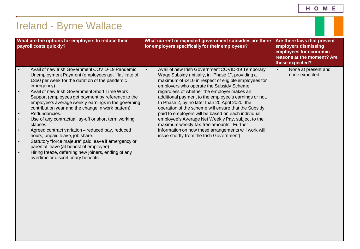<span id="page-19-0"></span>

| <b>Ireland - Byrne Wallace</b>                                                                                                                                                                                                                                                                                                                                                                                                                                                                                                                                                                                                                                                                                                                                                                                                           |                                                                                                                                                                                                                                                                                                                                                                                                                                                                                                                                                                                                                                                                                                        |                                                                                                                                |  |  |  |
|------------------------------------------------------------------------------------------------------------------------------------------------------------------------------------------------------------------------------------------------------------------------------------------------------------------------------------------------------------------------------------------------------------------------------------------------------------------------------------------------------------------------------------------------------------------------------------------------------------------------------------------------------------------------------------------------------------------------------------------------------------------------------------------------------------------------------------------|--------------------------------------------------------------------------------------------------------------------------------------------------------------------------------------------------------------------------------------------------------------------------------------------------------------------------------------------------------------------------------------------------------------------------------------------------------------------------------------------------------------------------------------------------------------------------------------------------------------------------------------------------------------------------------------------------------|--------------------------------------------------------------------------------------------------------------------------------|--|--|--|
| What are the options for employers to reduce their<br>payroll costs quickly?                                                                                                                                                                                                                                                                                                                                                                                                                                                                                                                                                                                                                                                                                                                                                             | What current or expected government subsidies are there<br>for employers specifically for their employees?                                                                                                                                                                                                                                                                                                                                                                                                                                                                                                                                                                                             | Are there laws that prevent<br>employers dismissing<br>employees for economic<br>reasons at the moment? Are<br>these expected? |  |  |  |
| Avail of new Irish Government COVID-19 Pandemic<br>$\bullet$<br>Unemployment Payment (employees get "flat" rate of<br>€350 per week for the duration of the pandemic<br>emergency).<br>Avail of new Irish Government Short Time Work<br>$\bullet$<br>Support (employees get payment by reference to the<br>employee's average weekly earnings in the governing<br>contribution year and the change in work pattern).<br>Redundancies.<br>Use of any contractual lay-off or short term working<br>$\bullet$<br>clauses.<br>Agreed contract variation - reduced pay, reduced<br>$\bullet$<br>hours, unpaid leave, job share.<br>Statutory "force majeure" paid leave if emergency or<br>$\bullet$<br>parental leave (at behest of employee).<br>Hiring freeze, deferring new joiners, ending of any<br>overtime or discretionary benefits. | $\bullet$<br>Avail of new Irish Government COVID-19 Temporary<br>Wage Subsidy (initially, in "Phase 1", providing a<br>maximum of €410 in respect of eligible employees for<br>employers who operate the Subsidy Scheme<br>regardless of whether the employer makes an<br>additional payment to the employee's earnings or not.<br>In Phase 2, by no later than 20 April 2020, the<br>operation of the scheme will ensure that the Subsidy<br>paid to employers will be based on each individual<br>employee's Average Net Weekly Pay, subject to the<br>maximum weekly tax-free amounts. Further<br>information on how these arrangements will work will<br>issue shortly from the Irish Government). | None at present and<br>$\bullet$<br>none expected.                                                                             |  |  |  |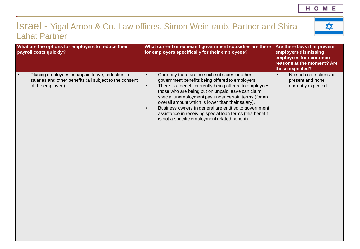### <span id="page-20-0"></span>Israel - Yigal Arnon & Co. Law offices, Simon Weintraub, Partner and Shira Lahat Partner

 $\overline{\mathbf{r}}$ 

|           | What are the options for employers to reduce their<br>payroll costs quickly?                                                    | What current or expected government subsidies are there<br>for employers specifically for their employees?                                                                                                                                                                                                                                                                                                                                                                                                                                    | Are there laws that prevent<br>employers dismissing<br>employees for economic<br>reasons at the moment? Are<br>these expected? |
|-----------|---------------------------------------------------------------------------------------------------------------------------------|-----------------------------------------------------------------------------------------------------------------------------------------------------------------------------------------------------------------------------------------------------------------------------------------------------------------------------------------------------------------------------------------------------------------------------------------------------------------------------------------------------------------------------------------------|--------------------------------------------------------------------------------------------------------------------------------|
| $\bullet$ | Placing employees on unpaid leave, reduction in<br>salaries and other benefits (all subject to the consent<br>of the employee). | Currently there are no such subsidies or other<br>$\bullet$<br>government benefits being offered to employers.<br>There is a benefit currently being offered to employees-<br>$\bullet$<br>those who are being put on unpaid leave can claim<br>special unemployment pay under certain terms (for an<br>overall amount which is lower than their salary).<br>Business owners in general are entitled to government<br>$\bullet$<br>assistance in receiving special loan terms (this benefit<br>is not a specific employment related benefit). | No such restrictions at<br>$\bullet$<br>present and none<br>currently expected.                                                |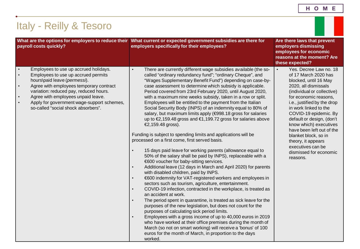HOME

<span id="page-21-0"></span>

| <b>Italy - Reilly &amp; Tesoro</b>                                                                                                                                                                                                                                                                                                                                                            |                                                                                                                                                                                                                                                                                                                                                                                                                                                                                                                                                                                                                                                                                                                                                                                                                                                                                                                                                                                                                                                                                                                                                                                                                                                                                                                                                                                                                                                                                                                                                                                                                                                                                                                                                                                                                        |                                                                                                                                                                                                                                                                                                                                                                                                                                                   |  |  |  |
|-----------------------------------------------------------------------------------------------------------------------------------------------------------------------------------------------------------------------------------------------------------------------------------------------------------------------------------------------------------------------------------------------|------------------------------------------------------------------------------------------------------------------------------------------------------------------------------------------------------------------------------------------------------------------------------------------------------------------------------------------------------------------------------------------------------------------------------------------------------------------------------------------------------------------------------------------------------------------------------------------------------------------------------------------------------------------------------------------------------------------------------------------------------------------------------------------------------------------------------------------------------------------------------------------------------------------------------------------------------------------------------------------------------------------------------------------------------------------------------------------------------------------------------------------------------------------------------------------------------------------------------------------------------------------------------------------------------------------------------------------------------------------------------------------------------------------------------------------------------------------------------------------------------------------------------------------------------------------------------------------------------------------------------------------------------------------------------------------------------------------------------------------------------------------------------------------------------------------------|---------------------------------------------------------------------------------------------------------------------------------------------------------------------------------------------------------------------------------------------------------------------------------------------------------------------------------------------------------------------------------------------------------------------------------------------------|--|--|--|
| What are the options for employers to reduce their<br>payroll costs quickly?                                                                                                                                                                                                                                                                                                                  | What current or expected government subsidies are there for<br>employers specifically for their employees?                                                                                                                                                                                                                                                                                                                                                                                                                                                                                                                                                                                                                                                                                                                                                                                                                                                                                                                                                                                                                                                                                                                                                                                                                                                                                                                                                                                                                                                                                                                                                                                                                                                                                                             | Are there laws that prevent<br>employers dismissing<br>employees for economic<br>reasons at the moment? Are<br>these expected?                                                                                                                                                                                                                                                                                                                    |  |  |  |
| Employees to use up accrued holidays.<br>$\bullet$<br>Employees to use up accrued permits<br>$\bullet$<br>hours\paid leave (permessi).<br>Agree with employees temporary contract<br>$\bullet$<br>variation: reduced pay, reduced hours.<br>Agree with employees unpaid leave.<br>$\bullet$<br>Apply for government wage-support schemes,<br>$\bullet$<br>so-called "social shock absorbers". | There are currently different wage subsidies available (the so-<br>$\bullet$<br>called "ordinary redundancy fund"; "ordinary Cheque", and<br>"Wages Supplementary Benefit Fund") depending on case-by-<br>case assessment to determine which subsidy is applicable.<br>Period covered from 23rd February 2020, until August 2020,<br>with a maximum nine weeks subsidy, taken in a row or split.<br>Employees will be entitled to the payment from the Italian<br>Social Security Body (INPS) of an indemnity equal to 80% of<br>salary, but maximum limits apply (€998.18 gross for salaries<br>up to €2,159.48 gross and €1,199.72 gross for salaries above<br>€2,159.48 gross).<br>Funding is subject to spending limits and applications will be<br>processed on a first come, first served basis.<br>15 days paid leave for working parents (allowance equal to<br>50% of the salary shall be paid by INPS), replaceable with a<br>€600 voucher for baby-sitting services.<br>Additional leave (12 days in March and April 2020) for parents<br>$\bullet$<br>with disabled children, paid by INPS.<br>€600 indemnity for VAT-registered workers and employees in<br>$\bullet$<br>sectors such as tourism, agriculture, entertainment.<br>COVID-19 infection, contracted in the workplace, is treated as<br>$\bullet$<br>an accident at work.<br>The period spent in quarantine, is treated as sick leave for the<br>purposes of the new legislation, but does not count for the<br>purposes of calculating sick period limits.<br>Employees with a gross income of up to 40,000 euros in 2019<br>$\bullet$<br>who have worked at their office premises during the month of<br>March (so not on smart working) will receive a 'bonus' of 100<br>euros for the month of March, in proportion to the days<br>worked. | $\bullet$<br>Yes. Decree Law no. 18<br>of 17 March 2020 has<br>blocked, until 16 May<br>2020, all dismissals<br>(individual or collective)<br>for economic reasons,<br>i.e., justified by the drop<br>in work linked to the<br>COVID-19 epidemic. By<br>default or design, (don't<br>know which) executives<br>have been left out of the<br>blanket block, so in<br>theory, it appears<br>executives can be<br>dismissed for economic<br>reasons. |  |  |  |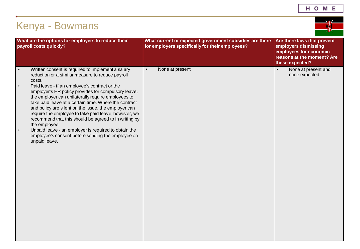| н |  | O M E |  |
|---|--|-------|--|
|---|--|-------|--|

<span id="page-22-0"></span>

| <b>Kenya - Bowmans</b> |
|------------------------|
|------------------------|

 $\rightarrow$ 

| What are the options for employers to reduce their<br>payroll costs quickly?                                                                                                                                                                                                                                                                                                                                                                                                                                                                                                                                                                                                                          | What current or expected government subsidies are there<br>for employers specifically for their employees? | Are there laws that prevent<br>employers dismissing<br>employees for economic<br>reasons at the moment? Are<br>these expected? |
|-------------------------------------------------------------------------------------------------------------------------------------------------------------------------------------------------------------------------------------------------------------------------------------------------------------------------------------------------------------------------------------------------------------------------------------------------------------------------------------------------------------------------------------------------------------------------------------------------------------------------------------------------------------------------------------------------------|------------------------------------------------------------------------------------------------------------|--------------------------------------------------------------------------------------------------------------------------------|
| Written consent is required to implement a salary<br>$\bullet$<br>reduction or a similar measure to reduce payroll<br>costs.<br>Paid leave - if an employee's contract or the<br>$\bullet$<br>employer's HR policy provides for compulsory leave,<br>the employer can unilaterally require employees to<br>take paid leave at a certain time. Where the contract<br>and policy are silent on the issue, the employer can<br>require the employee to take paid leave; however, we<br>recommend that this should be agreed to in writing by<br>the employee.<br>Unpaid leave - an employer is required to obtain the<br>$\bullet$<br>employee's consent before sending the employee on<br>unpaid leave. | None at present<br>$\bullet$                                                                               | None at present and<br>$\bullet$<br>none expected.                                                                             |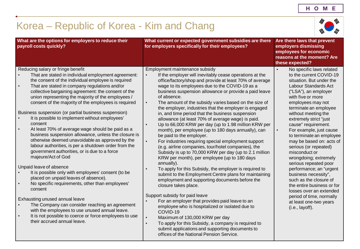# <span id="page-23-0"></span>Korea – Republic of Korea - Kim and Chang



| What are the options for employers to reduce their<br>payroll costs quickly?                                                                                                                                                                                                                                                                                                                                                                                                                                                                                                                                                                                                                                                                                                                                                                                                                                                                                                                                                                                                                                                                                                                                                                        | What current or expected government subsidies are there<br>for employers specifically for their employees?                                                                                                                                                                                                                                                                                                                                                                                                                                                                                                                                                                                                                                                                                                                                                                                                                                                                                                                                                                                                                                                                                                                                                                                                                                                                                                                                                                                                       | Are there laws that prevent<br>employers dismissing<br>employees for economic<br>reasons at the moment? Are<br>these expected?                                                                                                                                                                                                                                                                                                                                                                                                                                                                                                                                                                     |
|-----------------------------------------------------------------------------------------------------------------------------------------------------------------------------------------------------------------------------------------------------------------------------------------------------------------------------------------------------------------------------------------------------------------------------------------------------------------------------------------------------------------------------------------------------------------------------------------------------------------------------------------------------------------------------------------------------------------------------------------------------------------------------------------------------------------------------------------------------------------------------------------------------------------------------------------------------------------------------------------------------------------------------------------------------------------------------------------------------------------------------------------------------------------------------------------------------------------------------------------------------|------------------------------------------------------------------------------------------------------------------------------------------------------------------------------------------------------------------------------------------------------------------------------------------------------------------------------------------------------------------------------------------------------------------------------------------------------------------------------------------------------------------------------------------------------------------------------------------------------------------------------------------------------------------------------------------------------------------------------------------------------------------------------------------------------------------------------------------------------------------------------------------------------------------------------------------------------------------------------------------------------------------------------------------------------------------------------------------------------------------------------------------------------------------------------------------------------------------------------------------------------------------------------------------------------------------------------------------------------------------------------------------------------------------------------------------------------------------------------------------------------------------|----------------------------------------------------------------------------------------------------------------------------------------------------------------------------------------------------------------------------------------------------------------------------------------------------------------------------------------------------------------------------------------------------------------------------------------------------------------------------------------------------------------------------------------------------------------------------------------------------------------------------------------------------------------------------------------------------|
| Reducing salary or fringe benefit<br>That are stated in individual employment agreement:<br>the consent of the individual employee is required<br>That are stated in company regulations and/or<br>$\bullet$<br>collective bargaining agreement: the consent of the<br>union representing the majority of the employees /<br>consent of the majority of the employees is required<br>Business suspension (or partial business suspension)<br>It is possible to implement without employees'<br>consent<br>At least 70% of average wage should be paid as a<br>$\bullet$<br>business suspension allowance, unless the closure is<br>otherwise deemed unavoidable as approved by the<br>labour authorities, is per a shutdown order from the<br>government authorities, or is due to a force<br>majeure/Act of God<br>Unpaid leave of absence<br>It is possible only with employees' consent (to be<br>placed on unpaid leaves of absence).<br>No specific requirements, other than employees'<br>consent<br>Exhausting unused annual leave<br>The Company can consider reaching an agreement<br>with the employees to use unused annual leave.<br>It is not possible to coerce or force employees to use<br>$\bullet$<br>their accrued annual leave. | Employment maintenance subsidy<br>If the employer will inevitably cease operations at the<br>$\bullet$<br>office/factory/shop and provide at least 70% of average<br>wage to its employees due to the COVID-19 as a<br>business suspension allowance or provide a paid leave<br>of absence.<br>The amount of the subsidy varies based on the size of<br>$\bullet$<br>the employer, industries that the employer is engaged<br>in, and time period that the business suspension<br>allowance (at least 70% of average wage) is paid.<br>Up to 66,000 KRW per day (up to 1.98 million KRW per<br>$\bullet$<br>month), per employee (up to 180 days annually), can<br>be paid to the employer.<br>$\bullet$<br>For industries requiring special employment support<br>(e.g. airline companies, tour/hotel companies), the<br>Subsidy is up to 70,000 KRW per day (up to 2.1 million<br>KRW per month), per employee (up to 180 days<br>annually).<br>To apply for this Subsidy, the employer is required to<br>submit to the Employment Centre plans for maintaining<br>employment and supporting documents before the<br>closure takes place.<br>Support subsidy for paid leave<br>For an employer that provides paid leave to an<br>employee who is hospitalized or isolated due to<br>COVID-19<br>Maximum of 130,000 KRW per day<br>$\bullet$<br>To apply for this Subsidy, a company is required to<br>$\bullet$<br>submit applications and supporting documents to<br>offices of the National Pension Service. | No specific laws related<br>$\bullet$<br>to the current COVID-19<br>situation. But under the<br>Labour Standards Act<br>("LSA"), an employer<br>with five or more<br>employees may not<br>terminate an employee<br>without meeting the<br>extremely strict "just<br>cause" requirement.<br>For example, just cause<br>$\bullet$<br>to terminate an employee<br>may be based on: acts of<br>serious (or repeated)<br>misconduct or<br>wrongdoing; extremely<br>serious repeated poor<br>performance; an "urgent<br>business necessity",<br>such as the closure of<br>the entire business or for<br>losses over an extended<br>period of time, normally<br>at least one-two years<br>(i.e., layoff). |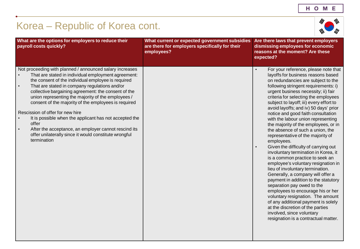# Korea – Republic of Korea cont.



| What are the options for employers to reduce their<br>payroll costs quickly?                                                                                                                                                                                                                                                                                                                                                                                                                                                                                                                                                                                 | What current or expected government subsidies<br>are there for employers specifically for their<br>employees? | Are there laws that prevent employers<br>dismissing employees for economic<br>reasons at the moment? Are these<br>expected?                                                                                                                                                                                                                                                                                                                                                                                                                                                                                                                                                                                                                                                                                                                                                                                                                                                                                                                                               |
|--------------------------------------------------------------------------------------------------------------------------------------------------------------------------------------------------------------------------------------------------------------------------------------------------------------------------------------------------------------------------------------------------------------------------------------------------------------------------------------------------------------------------------------------------------------------------------------------------------------------------------------------------------------|---------------------------------------------------------------------------------------------------------------|---------------------------------------------------------------------------------------------------------------------------------------------------------------------------------------------------------------------------------------------------------------------------------------------------------------------------------------------------------------------------------------------------------------------------------------------------------------------------------------------------------------------------------------------------------------------------------------------------------------------------------------------------------------------------------------------------------------------------------------------------------------------------------------------------------------------------------------------------------------------------------------------------------------------------------------------------------------------------------------------------------------------------------------------------------------------------|
| Not proceeding with planned / announced salary increases<br>That are stated in individual employment agreement:<br>the consent of the individual employee is required<br>That are stated in company regulations and/or<br>$\bullet$<br>collective bargaining agreement: the consent of the<br>union representing the majority of the employees /<br>consent of the majority of the employees is required<br>Rescission of offer for new hire<br>It is possible when the applicant has not accepted the<br>offer<br>After the acceptance, an employer cannot rescind its<br>$\bullet$<br>offer unilaterally since it would constitute wrongful<br>termination |                                                                                                               | For your reference, please note that<br>layoffs for business reasons based<br>on redundancies are subject to the<br>following stringent requirements: i)<br>urgent business necessity; ii) fair<br>criteria for selecting the employees<br>subject to layoff; iii) every effort to<br>avoid layoffs; and iv) 50 days' prior<br>notice and good faith consultation<br>with the labour union representing<br>the majority of the employees, or in<br>the absence of such a union, the<br>representative of the majority of<br>employees.<br>Given the difficulty of carrying out<br>involuntary termination in Korea, it<br>is a common practice to seek an<br>employee's voluntary resignation in<br>lieu of involuntary termination.<br>Generally, a company will offer a<br>payment in addition to the statutory<br>separation pay owed to the<br>employees to encourage his or her<br>voluntary resignation. The amount<br>of any additional payment is solely<br>at the discretion of the parties<br>involved, since voluntary<br>resignation is a contractual matter. |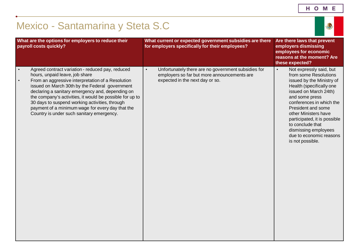| н | О | М | Е |
|---|---|---|---|
|   |   |   |   |

<span id="page-25-0"></span>

| Mexico - Santamarina y Steta S.C                                                                                                                                                                                                                                                                                                                                                                                                                                          |                                                                                                                                                    |                                                                                                                                                                                                                                                                                                                                                                        |  |
|---------------------------------------------------------------------------------------------------------------------------------------------------------------------------------------------------------------------------------------------------------------------------------------------------------------------------------------------------------------------------------------------------------------------------------------------------------------------------|----------------------------------------------------------------------------------------------------------------------------------------------------|------------------------------------------------------------------------------------------------------------------------------------------------------------------------------------------------------------------------------------------------------------------------------------------------------------------------------------------------------------------------|--|
| What are the options for employers to reduce their<br>payroll costs quickly?                                                                                                                                                                                                                                                                                                                                                                                              | What current or expected government subsidies are there<br>for employers specifically for their employees?                                         | Are there laws that prevent<br>employers dismissing<br>employees for economic<br>reasons at the moment? Are<br>these expected?                                                                                                                                                                                                                                         |  |
| Agreed contract variation - reduced pay, reduced<br>hours, unpaid leave, job share<br>From an aggressive interpretation of a Resolution<br>$\bullet$<br>issued on March 30th by the Federal government<br>declaring a sanitary emergency and, depending on<br>the company's activities, it would be possible for up to<br>30 days to suspend working activities, through<br>payment of a minimum wage for every day that the<br>Country is under such sanitary emergency. | Unfortunately there are no government subsidies for<br>$\bullet$<br>employers so far but more announcements are<br>expected in the next day or so. | Not expressly said, but<br>$\bullet$<br>from some Resolutions<br>issued by the Ministry of<br>Health (specifically one<br>issued on March 24th)<br>and some press<br>conferences in which the<br>President and some<br>other Ministers have<br>participated, it is possible<br>to conclude that<br>dismissing employees<br>due to economic reasons<br>is not possible. |  |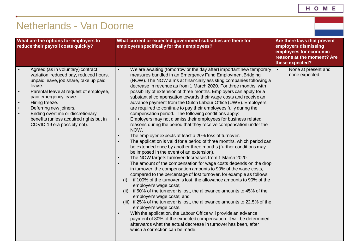## <span id="page-26-0"></span>Netherlands - Van Doorne

| What are the options for employers to<br>reduce their payroll costs quickly?                                                                                                                                                                                                                                                                                | What current or expected government subsidies are there for<br>employers specifically for their employees?                                                                                                                                                                                                                                                                                                                                                                                                                                                                                                                                                                                                                                                                                                                                                                                                                                                                                                                                                                                                                                                                                                                                                                                                                                                                                                                                                                                                                                                                                                                                                                                                                                                                                                                                                                                                                                                                | Are there laws that prevent<br>employers dismissing<br>employees for economic<br>reasons at the moment? Are<br>these expected? |
|-------------------------------------------------------------------------------------------------------------------------------------------------------------------------------------------------------------------------------------------------------------------------------------------------------------------------------------------------------------|---------------------------------------------------------------------------------------------------------------------------------------------------------------------------------------------------------------------------------------------------------------------------------------------------------------------------------------------------------------------------------------------------------------------------------------------------------------------------------------------------------------------------------------------------------------------------------------------------------------------------------------------------------------------------------------------------------------------------------------------------------------------------------------------------------------------------------------------------------------------------------------------------------------------------------------------------------------------------------------------------------------------------------------------------------------------------------------------------------------------------------------------------------------------------------------------------------------------------------------------------------------------------------------------------------------------------------------------------------------------------------------------------------------------------------------------------------------------------------------------------------------------------------------------------------------------------------------------------------------------------------------------------------------------------------------------------------------------------------------------------------------------------------------------------------------------------------------------------------------------------------------------------------------------------------------------------------------------------|--------------------------------------------------------------------------------------------------------------------------------|
| Agreed (as in voluntary) contract<br>variation: reduced pay, reduced hours,<br>unpaid leave, job share, take up paid<br>leave.<br>Parental leave at request of employee,<br>paid emergency leave.<br>Hiring freeze.<br>Deferring new joiners.<br>Ending overtime or discretionary<br>benefits (unless acquired rights but in<br>COVID-19 era possibly not). | We are awaiting (tomorrow or the day after) important new temporary<br>$\bullet$<br>measures bundled in an Emergency Fund Employment Bridging<br>(NOW). The NOW aims at financially assisting companies following a<br>decrease in revenue as from 1 March 2020. For three months, with<br>possibility of extension of three months. Employers can apply for a<br>substantial compensation towards their wage costs and receive an<br>advance payment from the Dutch Labour Office (UWV). Employers<br>are required to continue to pay their employees fully during the<br>compensation period. The following conditions apply:<br>Employers may not dismiss their employees for business related<br>$\bullet$<br>reasons during the period that they receive compensation under the<br>NOW.<br>The employer expects at least a 20% loss of turnover.<br>$\bullet$<br>The application is valid for a period of three months, which period can<br>$\bullet$<br>be extended once by another three months (further conditions may<br>be imposed in the event of an extension).<br>The NOW targets turnover decreases from 1 March 2020.<br>$\bullet$<br>The amount of the compensation for wage costs depends on the drop<br>$\bullet$<br>in turnover; the compensation amounts to 90% of the wage costs,<br>compared to the percentage of lost turnover, for example as follows:<br>if 100% of the turnover is lost, the allowance amounts to 90% of the<br>(i)<br>employer's wage costs;<br>if 50% of the turnover is lost, the allowance amounts to 45% of the<br>(ii)<br>employer's wage costs; and<br>(iii) if 25% of the turnover is lost, the allowance amounts to 22.5% of the<br>employer's wage costs.<br>With the application, the Labour Office will provide an advance<br>$\bullet$<br>payment of 80% of the expected compensation. It will be determined<br>afterwards what the actual decrease in turnover has been, after<br>which a correction can be made. | None at present and<br>$\bullet$<br>none expected.                                                                             |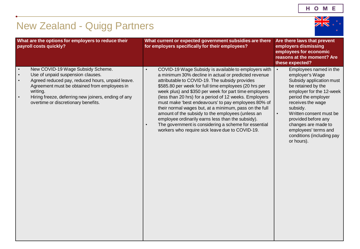

# <span id="page-27-0"></span>New Zealand - Quigg Partners

| What are the options for employers to reduce their<br>payroll costs quickly?                                                                                                                                                                                                                                                             | What current or expected government subsidies are there<br>for employers specifically for their employees?                                                                                                                                                                                                                                                                                                                                                                                                                                                                                                                                                                                                 | Are there laws that prevent<br>employers dismissing<br>employees for economic<br>reasons at the moment? Are<br>these expected?                                                                                                                                                                                                                        |
|------------------------------------------------------------------------------------------------------------------------------------------------------------------------------------------------------------------------------------------------------------------------------------------------------------------------------------------|------------------------------------------------------------------------------------------------------------------------------------------------------------------------------------------------------------------------------------------------------------------------------------------------------------------------------------------------------------------------------------------------------------------------------------------------------------------------------------------------------------------------------------------------------------------------------------------------------------------------------------------------------------------------------------------------------------|-------------------------------------------------------------------------------------------------------------------------------------------------------------------------------------------------------------------------------------------------------------------------------------------------------------------------------------------------------|
| New COVID-19 Wage Subsidy Scheme.<br>$\bullet$<br>Use of unpaid suspension clauses.<br>$\bullet$<br>Agreed reduced pay, reduced hours, unpaid leave.<br>$\bullet$<br>Agreement must be obtained from employees in<br>writing.<br>Hiring freeze, deferring new joiners, ending of any<br>$\bullet$<br>overtime or discretionary benefits. | COVID-19 Wage Subsidy is available to employers with<br>$\bullet$<br>a minimum 30% decline in actual or predicted revenue<br>attributable to COVID-19. The subsidy provides<br>\$585.80 per week for full time employees (20 hrs per<br>week plus) and \$350 per week for part time employees<br>(less than 20 hrs) for a period of 12 weeks. Employers<br>must make 'best endeavours' to pay employees 80% of<br>their normal wages but, at a minimum, pass on the full<br>amount of the subsidy to the employees (unless an<br>employee ordinarily earns less than the subsidy).<br>The government is considering a scheme for essential<br>$\bullet$<br>workers who require sick leave due to COVID-19. | Employees named in the<br>$\bullet$<br>employer's Wage<br>Subsidy application must<br>be retained by the<br>employer for the 12-week<br>period the employer<br>receives the wage<br>subsidy.<br>Written consent must be<br>$\bullet$<br>provided before any<br>changes are made to<br>employees' terms and<br>conditions (including pay<br>or hours). |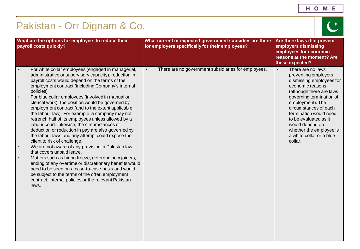| н<br>O<br>Е<br>M |
|------------------|
|------------------|

<span id="page-28-0"></span>

| Pakistan - Orr Dignam & Co.                                                                                                                                                                                                                                                                                                                                                                                                                                                                                                                                                                                                                                                                                                                                                                                                                                                                                                                                                                                                                                                                   |                                                                                                            |                                                                                                                                                                                                                                                                                                                                                     |
|-----------------------------------------------------------------------------------------------------------------------------------------------------------------------------------------------------------------------------------------------------------------------------------------------------------------------------------------------------------------------------------------------------------------------------------------------------------------------------------------------------------------------------------------------------------------------------------------------------------------------------------------------------------------------------------------------------------------------------------------------------------------------------------------------------------------------------------------------------------------------------------------------------------------------------------------------------------------------------------------------------------------------------------------------------------------------------------------------|------------------------------------------------------------------------------------------------------------|-----------------------------------------------------------------------------------------------------------------------------------------------------------------------------------------------------------------------------------------------------------------------------------------------------------------------------------------------------|
| What are the options for employers to reduce their<br>payroll costs quickly?                                                                                                                                                                                                                                                                                                                                                                                                                                                                                                                                                                                                                                                                                                                                                                                                                                                                                                                                                                                                                  | What current or expected government subsidies are there<br>for employers specifically for their employees? | Are there laws that prevent<br>employers dismissing<br>employees for economic<br>reasons at the moment? Are<br>these expected?                                                                                                                                                                                                                      |
| For white collar employees (engaged in managerial,<br>administrative or supervisory capacity), reduction in<br>payroll costs would depend on the terms of the<br>employment contract (including Company's internal<br>policies)<br>For blue collar employees (involved in manual or<br>clerical work), the position would be governed by<br>employment contract (and to the extent applicable,<br>the labour law). For example, a company may not<br>retrench half of its employees unless allowed by a<br>labour court. Likewise, the circumstances of<br>deduction or reduction in pay are also governed by<br>the labour laws and any attempt could expose the<br>client to risk of challenge.<br>We are not aware of any provision in Pakistan law<br>that covers unpaid leave.<br>Matters such as hiring freeze, deferring new joiners,<br>$\bullet$<br>ending of any overtime or discretionary benefits would<br>need to be seen on a case-to-case basis and would<br>be subject to the terms of the offer, employment<br>contract, internal policies or the relevant Pakistan<br>laws. | There are no government subsidiaries for employees.<br>$\bullet$                                           | There are no laws<br>$\bullet$<br>preventing employers<br>dismissing employees for<br>economic reasons<br>(although there are laws<br>governing termination of<br>employment). The<br>circumstances of each<br>termination would need<br>to be evaluated as it<br>would depend on<br>whether the employee is<br>a white collar or a blue<br>collar. |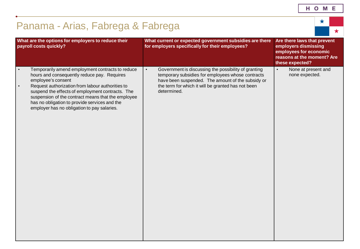| н | O | M | Е |
|---|---|---|---|
|   |   |   |   |

<span id="page-29-0"></span>

| Panama - Arias, Fabrega & Fabrega                                                                                                                                                                                                                                                                                                                                                                             |           |                                                                                                                                                                                                                                     |                                                                                                                                | ★ |            |
|---------------------------------------------------------------------------------------------------------------------------------------------------------------------------------------------------------------------------------------------------------------------------------------------------------------------------------------------------------------------------------------------------------------|-----------|-------------------------------------------------------------------------------------------------------------------------------------------------------------------------------------------------------------------------------------|--------------------------------------------------------------------------------------------------------------------------------|---|------------|
|                                                                                                                                                                                                                                                                                                                                                                                                               |           |                                                                                                                                                                                                                                     |                                                                                                                                |   | $\bigstar$ |
| What are the options for employers to reduce their<br>payroll costs quickly?                                                                                                                                                                                                                                                                                                                                  |           | What current or expected government subsidies are there<br>for employers specifically for their employees?                                                                                                                          | Are there laws that prevent<br>employers dismissing<br>employees for economic<br>reasons at the moment? Are<br>these expected? |   |            |
| Temporarily amend employment contracts to reduce<br>$\bullet$<br>hours and consequently reduce pay. Requires<br>employee's consent<br>Request authorization from labour authorities to<br>$\bullet$<br>suspend the effects of employment contracts. The<br>suspension of the contract means that the employee<br>has no obligation to provide services and the<br>employer has no obligation to pay salaries. | $\bullet$ | Government is discussing the possibility of granting<br>temporary subsidies for employees whose contracts<br>have been suspended. The amount of the subsidy or<br>the term for which it will be granted has not been<br>determined. | None at present and<br>$\bullet$<br>none expected.                                                                             |   |            |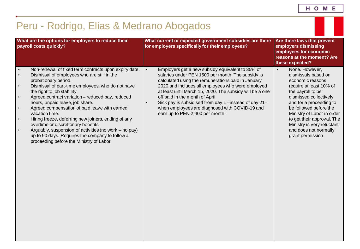<span id="page-30-0"></span>

| Peru - Rodrigo, Elias & Medrano Abogados                                                                                                                                                                                                                                                                                                                                                                                                                                                                                                                                                                                                                                                                                    |                                                                                                                                                                                                                                                                                                                                                                                                                                                                                        |                                                                                                                                                                                                                                                                                                                                               |
|-----------------------------------------------------------------------------------------------------------------------------------------------------------------------------------------------------------------------------------------------------------------------------------------------------------------------------------------------------------------------------------------------------------------------------------------------------------------------------------------------------------------------------------------------------------------------------------------------------------------------------------------------------------------------------------------------------------------------------|----------------------------------------------------------------------------------------------------------------------------------------------------------------------------------------------------------------------------------------------------------------------------------------------------------------------------------------------------------------------------------------------------------------------------------------------------------------------------------------|-----------------------------------------------------------------------------------------------------------------------------------------------------------------------------------------------------------------------------------------------------------------------------------------------------------------------------------------------|
| What are the options for employers to reduce their<br>payroll costs quickly?                                                                                                                                                                                                                                                                                                                                                                                                                                                                                                                                                                                                                                                | What current or expected government subsidies are there<br>for employers specifically for their employees?                                                                                                                                                                                                                                                                                                                                                                             | Are there laws that prevent<br>employers dismissing<br>employees for economic<br>reasons at the moment? Are<br>these expected?                                                                                                                                                                                                                |
| Non-renewal of fixed term contracts upon expiry date.<br>$\bullet$<br>Dismissal of employees who are still in the<br>$\bullet$<br>probationary period.<br>Dismissal of part-time employees, who do not have<br>$\bullet$<br>the right to job stability.<br>Agreed contract variation - reduced pay, reduced<br>$\bullet$<br>hours, unpaid leave, job share.<br>Agreed compensation of paid leave with earned<br>$\bullet$<br>vacation time.<br>Hiring freeze, deferring new joiners, ending of any<br>$\bullet$<br>overtime or discretionary benefits.<br>Arguably, suspension of activities (no work – no pay)<br>$\bullet$<br>up to 90 days. Requires the company to follow a<br>proceeding before the Ministry of Labor. | $\bullet$<br>Employers get a new subsidy equivalent to 35% of<br>salaries under PEN 1500 per month. The subsidy is<br>calculated using the remunerations paid in January<br>2020 and includes all employees who were employed<br>at least until March 15, 2020. The subsidy will be a one<br>off paid in the month of April.<br>Sick pay is subsidised from day 1-instead of day 21-<br>$\bullet$<br>when employees are diagnosed with COVID-19 and<br>earn up to PEN 2,400 per month. | None. However,<br>$\bullet$<br>dismissals based on<br>economic reasons<br>require at least 10% of<br>the payroll to be<br>dismissed collectively<br>and for a proceeding to<br>be followed before the<br>Ministry of Labor in order<br>to get their approval. The<br>Ministry is very reluctant<br>and does not normally<br>grant permission. |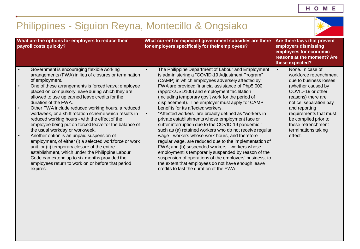#### <span id="page-31-0"></span>Philippines - Siguion Reyna, Montecillo & Ongsiako **What are the options for employers to reduce their payroll costs quickly? What current or expected government subsidies are there for employers specifically for their employees? Are there laws that prevent employers dismissing employees for economic reasons at the moment? Are these expected?** • Government is encouraging flexible working arrangements (FWA) in lieu of closures or termination of employment. • One of these arrangements is forced leave: employee placed on compulsory leave during which they are allowed to use up earned leave credits for the duration of the FWA. • Other FWA include reduced working hours, a reduced workweek, or a shift rotation scheme which results in reduced working hours - with the effect of the employee being put on forced leave for the balance of the usual workday or workweek. • Another option is an unpaid suspension of employment, of either (i) a selected workforce or work unit, or (ii) temporary closure of the entire establishment, which under the Philippine Labour Code can extend up to six months provided the employees return to work on or before that period expires. The Philippine Department of Labour and Employment is administering a "COVID-19 Adjustment Program" (CAMP) in which employees adversely affected by FWA are provided financial assistance of Php5,000 (approx.USD100) and employment facilitation (including temporary gov't work for the period of displacement). The employer must apply for CAMP benefits for its affected workers. • "Affected workers" are broadly defined as "workers in private establishments whose employment face or suffer interruption due to the COVID-19 pandemic," such as (a) retained workers who do not receive regular wage - workers whose work hours, and therefore regular wage, are reduced due to the implementation of FWA; and (b) suspended workers - workers whose employment is temporarily suspended by reason of the suspension of operations of the employers' business, to the extent that employees do not have enough leave credits to last the duration of the FWA. • None. In case of workforce retrenchment due to business losses (whether caused by COVID-19 or other reasons) there are notice, separation pay and reporting requirements that must be complied prior to these retrenchment terminations taking effect.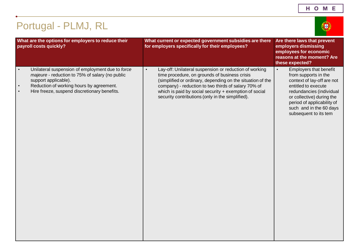### <span id="page-32-0"></span>Portugal - PLMJ, RL **What are the options for employers to reduce their payroll costs quickly? What current or expected government subsidies are there for employers specifically for their employees? Are there laws that prevent employers dismissing employees for economic reasons at the moment? Are these expected?** • Unilateral suspension of employment due to *force majeure* - reduction to 75% of salary (no public support applicable). Reduction of working hours by agreement. • Hire freeze, suspend discretionary benefits. • Lay-off: Unilateral suspension or reduction of working time procedure, on grounds of business crisis (simplified or ordinary, depending on the situation of the company) - reduction to two thirds of salary 70% of which is paid by social security + exemption of social security contributions (only in the simplified). • Employers that benefit from supports in the context of lay-off are not entitled to execute redundancies (individual or collective) during the period of applicability of such and in the 60 days subsequent to its tem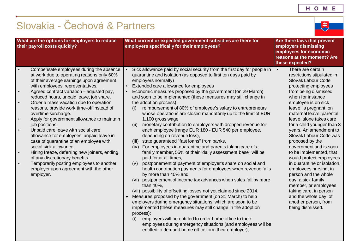电

# <span id="page-33-0"></span>Slovakia - Čechová & Partners

| What are the options for employers to reduce<br>their payroll costs quickly?                                                                                                                                                                                                                                                                                                                                                                                                                                                                                                                                                                                                                                                                                                                                                                                        | What current or expected government subsidies are there for<br>employers specifically for their employees?                                                                                                                                                                                                                                                                                                                                                                                                                                                                                                                                                                                                                                                                                                                                                                                                                                                                                                                                                                                                                                                                                                                                                                                                                                                                                                                                                                                                                                                                                                                               | Are there laws that prevent<br>employers dismissing<br>employees for economic<br>reasons at the moment? Are<br>these expected?                                                                                                                                                                                                                                                                                                                                                                                                                                                                                                                                                    |
|---------------------------------------------------------------------------------------------------------------------------------------------------------------------------------------------------------------------------------------------------------------------------------------------------------------------------------------------------------------------------------------------------------------------------------------------------------------------------------------------------------------------------------------------------------------------------------------------------------------------------------------------------------------------------------------------------------------------------------------------------------------------------------------------------------------------------------------------------------------------|------------------------------------------------------------------------------------------------------------------------------------------------------------------------------------------------------------------------------------------------------------------------------------------------------------------------------------------------------------------------------------------------------------------------------------------------------------------------------------------------------------------------------------------------------------------------------------------------------------------------------------------------------------------------------------------------------------------------------------------------------------------------------------------------------------------------------------------------------------------------------------------------------------------------------------------------------------------------------------------------------------------------------------------------------------------------------------------------------------------------------------------------------------------------------------------------------------------------------------------------------------------------------------------------------------------------------------------------------------------------------------------------------------------------------------------------------------------------------------------------------------------------------------------------------------------------------------------------------------------------------------------|-----------------------------------------------------------------------------------------------------------------------------------------------------------------------------------------------------------------------------------------------------------------------------------------------------------------------------------------------------------------------------------------------------------------------------------------------------------------------------------------------------------------------------------------------------------------------------------------------------------------------------------------------------------------------------------|
| Compensate employees during the absence<br>at work due to operating reasons only 60%<br>of their average earnings upon agreement<br>with employees' representatives.<br>Agreed contract variation - adjusted pay,<br>$\bullet$<br>reduced hours, unpaid leave, job share.<br>Order a mass vacation due to operation<br>$\bullet$<br>reasons, provide work time-off instead of<br>overtime surcharge.<br>Apply for government allowance to maintain<br>$\bullet$<br>job positions.<br>Unpaid care leave with social care<br>$\bullet$<br>allowance for employees, unpaid leave in<br>case of quarantine of an employee with<br>social sick allowance.<br>Hiring freeze, deferring new joiners, ending<br>$\bullet$<br>of any discretionary benefits.<br>Temporarily posting employees to another<br>$\bullet$<br>employer upon agreement with the other<br>employer. | Sick allowance paid by social security from the first day for people in<br>quarantine and isolation (as opposed to first ten days paid by<br>employers normally)<br>Extended care allowance for employees<br>Economic measures proposed by the government (on 29 March)<br>and soon to be implemented (these measures may still change in<br>the adoption process):<br>reimbursement of 80% of employee's salary to entrepreneurs<br>(i)<br>whose operations are closed mandatorily up to the limit of EUR<br>1.100 gross wage,<br>monetary contribution to employers with dropped revenue for<br>(ii)<br>each employee (range EUR 180 - EUR 540 per employee,<br>depending on revenue loss),<br>state guaranteed "fast loans" from banks,<br>(iii)<br>For employees in quarantine and parents taking care of a<br>(iv)<br>family member, 55% of their "daily assessment base" will be<br>paid for at all times,<br>postponement of payment of employer's share on social and<br>(v)<br>health contribution payments for employees when revenue falls<br>by more than 40% and<br>(vi) postponement of income tax advances when sales fall by more<br>than 40%,<br>(vii) possibility of offsetting losses not yet claimed since 2014.<br>Measures proposed by the government (on 31 March) to help<br>employers during emergency situations, which are soon to be<br>implemented (these measures may still change in the adoption<br>process):<br>employers will be entitled to order home office to their<br>(i)<br>employees during emergency situations (and employees will be<br>entitled to demand home office form their employer), | There are certain<br>$\bullet$<br>restrictions stipulated in<br>Slovak Labour Code<br>protecting employees<br>from being dismissed<br>when for instance<br>employee is on sick<br>leave, is pregnant, on<br>maternal leave, parental<br>leave, alone takes care<br>for a child younger than 3<br>years. An amendment to<br>Slovak Labour Code was<br>proposed by the<br>government and is soon<br>to be implemented, that<br>would protect employees<br>in quarantine or isolation,<br>employees nursing, in<br>person and the whole<br>day, a sick family<br>member, or employees<br>taking care, in person<br>and the whole day, of<br>another person, from<br>being dismissed. |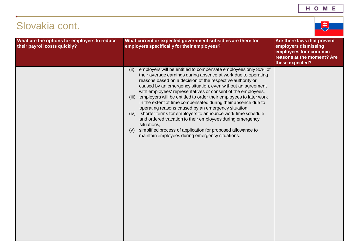### Slovakia cont. **What are the options for employers to reduce their payroll costs quickly? What current or expected government subsidies are there for employers specifically for their employees? Are there laws that prevent employers dismissing employees for economic reasons at the moment? Are these expected?** (ii) employers will be entitled to compensate employees only 80% of their average earnings during absence at work due to operating reasons based on a decision of the respective authority or caused by an emergency situation, even without an agreement with employees' representatives or consent of the employees, (iii) employers will be entitled to order their employees to later work in the extent of time compensated during their absence due to operating reasons caused by an emergency situation, (iv) shorter terms for employers to announce work time schedule and ordered vacation to their employees during emergency situations, (v) simplified process of application for proposed allowance to maintain employees during emergency situations.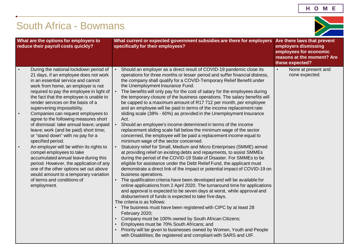## <span id="page-35-0"></span>South Africa - Bowmans

| What are the options for employers to<br>reduce their payroll costs quickly?                                                                                                                                                                                                                                                                                                                                                                                                                                                                                                                                                                                                                                                                                                                                                                               | What current or expected government subsidies are there for employers<br>specifically for their employees?                                                                                                                                                                                                                                                                                                                                                                                                                                                                                                                                                                                                                                                                                                                                                                                                                                                                                                                                                                                                                                                                                                                                                                                                                                                                                                                                                                                                                                                                                                                                                                                                                                                                                                                                                                                                                                                                                                | Are there laws that prevent<br>employers dismissing<br>employees for economic<br>reasons at the moment? Are<br>these expected? |
|------------------------------------------------------------------------------------------------------------------------------------------------------------------------------------------------------------------------------------------------------------------------------------------------------------------------------------------------------------------------------------------------------------------------------------------------------------------------------------------------------------------------------------------------------------------------------------------------------------------------------------------------------------------------------------------------------------------------------------------------------------------------------------------------------------------------------------------------------------|-----------------------------------------------------------------------------------------------------------------------------------------------------------------------------------------------------------------------------------------------------------------------------------------------------------------------------------------------------------------------------------------------------------------------------------------------------------------------------------------------------------------------------------------------------------------------------------------------------------------------------------------------------------------------------------------------------------------------------------------------------------------------------------------------------------------------------------------------------------------------------------------------------------------------------------------------------------------------------------------------------------------------------------------------------------------------------------------------------------------------------------------------------------------------------------------------------------------------------------------------------------------------------------------------------------------------------------------------------------------------------------------------------------------------------------------------------------------------------------------------------------------------------------------------------------------------------------------------------------------------------------------------------------------------------------------------------------------------------------------------------------------------------------------------------------------------------------------------------------------------------------------------------------------------------------------------------------------------------------------------------------|--------------------------------------------------------------------------------------------------------------------------------|
| During the national lockdown period of<br>21 days, if an employee does not work<br>in an essential service and cannot<br>work from home, an employer is not<br>required to pay the employee in light of<br>the fact that the employee is unable to<br>render services on the basis of a<br>supervening impossibility.<br>Companies can request employees to<br>$\bullet$<br>agree to the following measures short<br>of dismissal: take annual leave; unpaid<br>leave; work (and be paid) short time;<br>or "stand down" with no pay for a<br>specified period.<br>An employer will be within its rights to<br>compel employees to take<br>accumulated annual leave during this<br>period. However, the application of any<br>one of the other options set out above<br>would amount to a temporary variation<br>of terms and conditions of<br>employment. | Should an employer as a direct result of COVID-19 pandemic close its<br>operations for three months or lesser period and suffer financial distress,<br>the company shall qualify for a COVID-Temporary Relief Benefit under<br>the Unemployment Insurance Fund.<br>The benefits will only pay for the cost of salary for the employees during<br>$\bullet$<br>the temporary closure of the business operations. The salary benefits will<br>be capped to a maximum amount of R17 712 per month, per employee<br>and an employee will be paid in terms of the income replacement rate<br>sliding scale (38% - 60%) as provided in the Unemployment Insurance<br>Act.<br>Should an employee's income determined in terms of the income<br>replacement sliding scale fall below the minimum wage of the sector<br>concerned, the employee will be paid a replacement income equal to<br>minimum wage of the sector concerned.<br>Statutory relief for Small, Medium and Micro Enterprises (SMME) aimed<br>at providing relief on existing debts and repayments, to assist SMMEs<br>during the period of the COVID-19 State of Disaster. For SMMEs to be<br>eligible for assistance under the Debt Relief Fund, the applicant must<br>demonstrate a direct link of the impact or potential impact of COVID-19 on<br>business operations.<br>The qualification criteria have been developed and will be available for<br>online applications from 2 April 2020. The turnaround time for applications<br>and approval is expected to be seven days at worst, while approval and<br>disbursement of funds is expected to take five days.<br>The criteria is as follows:<br>The business must have been registered with CIPC by at least 28<br>February 2020;<br>Company must be 100% owned by South African Citizens;<br>Employees must be 70% South Africans; and<br>Priority will be given to businesses owned by Women, Youth and People<br>with Disabilities; Be registered and compliant with SARS and UIF. | None at present and<br>$\bullet$<br>none expected.                                                                             |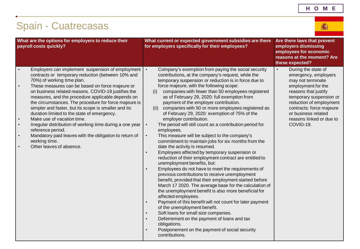<span id="page-36-0"></span>

| <b>Spain - Cuatrecasas</b>                                                                                                                                                                                                                                                                                                                                                                                                                                                                                                                                                                                                                                                                                                                                | 滿                                                                                                                                                                                                                                                                                                                                                                                                                                                                                                                                                                                                                                                                                                                                                                                                                                                                                                                                                                                                                                                                                                                                                                                                                                                                                                                                                                                                                                                                                                                                                   |                                                                                                                                                                                                                                                                               |
|-----------------------------------------------------------------------------------------------------------------------------------------------------------------------------------------------------------------------------------------------------------------------------------------------------------------------------------------------------------------------------------------------------------------------------------------------------------------------------------------------------------------------------------------------------------------------------------------------------------------------------------------------------------------------------------------------------------------------------------------------------------|-----------------------------------------------------------------------------------------------------------------------------------------------------------------------------------------------------------------------------------------------------------------------------------------------------------------------------------------------------------------------------------------------------------------------------------------------------------------------------------------------------------------------------------------------------------------------------------------------------------------------------------------------------------------------------------------------------------------------------------------------------------------------------------------------------------------------------------------------------------------------------------------------------------------------------------------------------------------------------------------------------------------------------------------------------------------------------------------------------------------------------------------------------------------------------------------------------------------------------------------------------------------------------------------------------------------------------------------------------------------------------------------------------------------------------------------------------------------------------------------------------------------------------------------------------|-------------------------------------------------------------------------------------------------------------------------------------------------------------------------------------------------------------------------------------------------------------------------------|
| What are the options for employers to reduce their<br>payroll costs quickly?                                                                                                                                                                                                                                                                                                                                                                                                                                                                                                                                                                                                                                                                              | What current or expected government subsidies are there<br>for employers specifically for their employees?                                                                                                                                                                                                                                                                                                                                                                                                                                                                                                                                                                                                                                                                                                                                                                                                                                                                                                                                                                                                                                                                                                                                                                                                                                                                                                                                                                                                                                          | Are there laws that prevent<br>employers dismissing<br>employees for economic<br>reasons at the moment? Are<br>these expected?                                                                                                                                                |
| Employers can implement suspension of employment<br>contracts or temporary reduction (between 10% and<br>70%) of working time plan.<br>These measures can be based on force majeure or<br>$\bullet$<br>on business related reasons. COVID-19 justifies the<br>measures, and the procedure applicable depends on<br>the circumstances. The procedure for force majeure is<br>simpler and faster, but its scope is smaller and its<br>duration limited to the state of emergency.<br>Make use of vacation time.<br>$\bullet$<br>Irregular distribution of working time during a one year<br>$\bullet$<br>reference period.<br>Mandatory paid leaves with the obligation to return of<br>$\bullet$<br>working time.<br>Other leaves of absence.<br>$\bullet$ | Company's exemption from paying the social security<br>$\bullet$<br>contributions, at the company's request, while the<br>temporary suspension or reduction is in force due to<br>force majeure, with the following scope:<br>companies with fewer than 50 employees registered<br>(i)<br>as of February 29, 2020: full exemption from<br>payment of the employer contribution.<br>companies with 50 or more employees registered as<br>(ii)<br>of February 29, 2020: exemption of 75% of the<br>employer contribution.<br>The period will still count as a contribution period for<br>$\bullet$<br>employees.<br>This measure will be subject to the company's<br>$\bullet$<br>commitment to maintain jobs for six months from the<br>date the activity is resumed.<br>Employees affected by temporary suspension or<br>$\bullet$<br>reduction of their employment contract are entitled to<br>unemployment benefits, but:<br>Employees do not have to meet the requirements of<br>$\bullet$<br>previous contributions to receive unemployment<br>benefit, provided that their employment started before<br>March 17 2020. The average base for the calculation of<br>the unemployment benefit is also more beneficial for<br>affected employees.<br>Payment of this benefit will not count for later payment<br>$\bullet$<br>of the unemployment benefit.<br>Soft loans for small size companies.<br>Deferrement on the payment of loans and tax<br>$\bullet$<br>obligations.<br>Postponement on the payment of social security<br>contributions. | During the state of<br>$\bullet$<br>emergency, employers<br>may not terminate<br>employment for the<br>reasons that justify<br>temporary suspension or<br>reduction of employment<br>contracts: force majeure<br>or business related<br>reasons linked or due to<br>COVID-19. |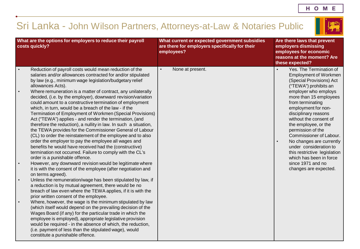# <span id="page-37-0"></span>Sri Lanka - John Wilson Partners, Attorneys-at-Law & Notaries Public



| What are the options for employers to reduce their payroll<br>costs quickly?                                                                                                                                                                                                                                                                                                                                                                                                                                                                                                                                                                                                                                                                                                                           | What current or expected government subsidies<br>are there for employers specifically for their<br>employees? | Are there laws that prevent<br>employers dismissing<br>employees for economic<br>reasons at the moment? Are<br>these expected?                                                                                                                                                                                                                    |
|--------------------------------------------------------------------------------------------------------------------------------------------------------------------------------------------------------------------------------------------------------------------------------------------------------------------------------------------------------------------------------------------------------------------------------------------------------------------------------------------------------------------------------------------------------------------------------------------------------------------------------------------------------------------------------------------------------------------------------------------------------------------------------------------------------|---------------------------------------------------------------------------------------------------------------|---------------------------------------------------------------------------------------------------------------------------------------------------------------------------------------------------------------------------------------------------------------------------------------------------------------------------------------------------|
| Reduction of payroll costs would mean reduction of the<br>$\bullet$<br>salaries and/or allowances contracted for and/or stipulated<br>by law (e.g., minimum wage legislation/budgetary relief<br>allowances Acts).                                                                                                                                                                                                                                                                                                                                                                                                                                                                                                                                                                                     | None at present.                                                                                              | Yes. The Termination of<br><b>Employment of Workmen</b><br>(Special Provisions) Act<br>("TEWA") prohibits an                                                                                                                                                                                                                                      |
| Where remuneration is a matter of contract, any unilaterally<br>$\bullet$<br>decided, (i.e. by the employer), downward revision/variation<br>could amount to a constructive termination of employment<br>which, in turn, would be a breach of the law - if the<br>Termination of Employment of Workmen (Special Provisions)<br>Act ("TEWA") applies - and render the termination, (and<br>therefore the reduction), a nullity in law. In such a situation,<br>the TEWA provides for the Commissioner General of Labour<br>(CL) to order the reinstatement of the employee and to also<br>order the employer to pay the employee all wages and<br>benefits he would have received had the (constructive)<br>termination not occurred. Failure to comply with the CL's<br>order is a punishable offence. |                                                                                                               | employer who employs<br>more than 15 employees<br>from terminating<br>employment for non-<br>disciplinary reasons<br>without the consent of<br>the employee, or the<br>permission of the<br>Commissioner of Labour.<br>No changes are currently<br>$\bullet$<br>under consideration to<br>this restrictive legislation<br>which has been in force |
| However, any downward revision would be legitimate where<br>it is with the consent of the employee (after negotiation and<br>on terms agreed).                                                                                                                                                                                                                                                                                                                                                                                                                                                                                                                                                                                                                                                         |                                                                                                               | since 1971 and no<br>changes are expected.                                                                                                                                                                                                                                                                                                        |
| Unless the remuneration/wage has been stipulated by law, if<br>$\bullet$<br>a reduction is by mutual agreement, there would be no<br>breach of law even where the TEWA applies, if it is with the<br>prior written consent of the employee.                                                                                                                                                                                                                                                                                                                                                                                                                                                                                                                                                            |                                                                                                               |                                                                                                                                                                                                                                                                                                                                                   |
| Where, however, the wage is the minimum stipulated by law<br>$\bullet$<br>(which itself would depend on the prevailing decision of the<br>Wages Board (if any) for the particular trade in which the<br>employee is employed), appropriate legislative provision<br>would be required - in the absence of which, the reduction,<br>(i.e. payment of less than the stipulated wage), would<br>constitute a punishable offence.                                                                                                                                                                                                                                                                                                                                                                          |                                                                                                               |                                                                                                                                                                                                                                                                                                                                                   |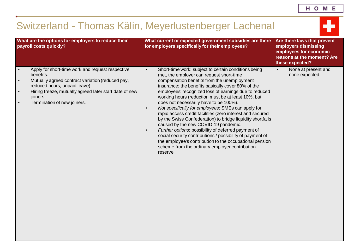# <span id="page-38-0"></span>Switzerland - Thomas Kälin, Meyerlustenberger Lachenal

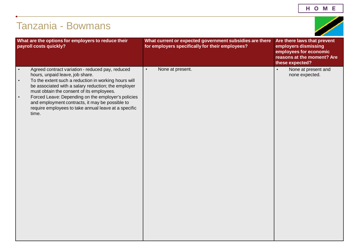<span id="page-39-0"></span>

| What are the options for employers to reduce their<br>payroll costs quickly?                                                                                                                                                                                                                                                                                                                                                                                     | What current or expected government subsidies are there<br>for employers specifically for their employees? | Are there laws that prevent<br>employers dismissing<br>employees for economic<br>reasons at the moment? Are<br>these expected? |
|------------------------------------------------------------------------------------------------------------------------------------------------------------------------------------------------------------------------------------------------------------------------------------------------------------------------------------------------------------------------------------------------------------------------------------------------------------------|------------------------------------------------------------------------------------------------------------|--------------------------------------------------------------------------------------------------------------------------------|
| Agreed contract variation - reduced pay, reduced<br>$\bullet$<br>hours, unpaid leave, job share.<br>To the extent such a reduction in working hours will<br>$\bullet$<br>be associated with a salary reduction; the employer<br>must obtain the consent of its employees.<br>Forced Leave: Depending on the employer's policies<br>$\bullet$<br>and employment contracts, it may be possible to<br>require employees to take annual leave at a specific<br>time. | None at present.<br>$\bullet$                                                                              | None at present and<br>$\bullet$<br>none expected.                                                                             |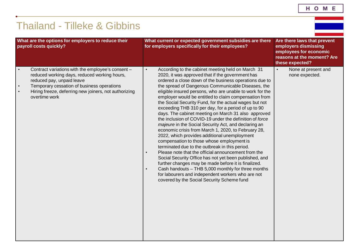HOME

<span id="page-40-0"></span>

|                                     | <b>Thailand - Tilleke &amp; Gibbins</b>                                                                                                                                                                                                                |                                                                                                                                                                                                                                                                                                                                                                                                                                                                                                                                                                                                                                                                                                                                                                                                                                                                                                                                                                                                                                                                                                                                                                                           |                                                                                                                                |
|-------------------------------------|--------------------------------------------------------------------------------------------------------------------------------------------------------------------------------------------------------------------------------------------------------|-------------------------------------------------------------------------------------------------------------------------------------------------------------------------------------------------------------------------------------------------------------------------------------------------------------------------------------------------------------------------------------------------------------------------------------------------------------------------------------------------------------------------------------------------------------------------------------------------------------------------------------------------------------------------------------------------------------------------------------------------------------------------------------------------------------------------------------------------------------------------------------------------------------------------------------------------------------------------------------------------------------------------------------------------------------------------------------------------------------------------------------------------------------------------------------------|--------------------------------------------------------------------------------------------------------------------------------|
|                                     | What are the options for employers to reduce their<br>payroll costs quickly?                                                                                                                                                                           | What current or expected government subsidies are there<br>for employers specifically for their employees?                                                                                                                                                                                                                                                                                                                                                                                                                                                                                                                                                                                                                                                                                                                                                                                                                                                                                                                                                                                                                                                                                | Are there laws that prevent<br>employers dismissing<br>employees for economic<br>reasons at the moment? Are<br>these expected? |
| $\bullet$<br>$\bullet$<br>$\bullet$ | Contract variations with the employee's consent -<br>reduced working days, reduced working hours,<br>reduced pay, unpaid leave<br>Temporary cessation of business operations<br>Hiring freeze, deferring new joiners, not authorizing<br>overtime work | According to the cabinet meeting held on March 31<br>$\bullet$<br>2020, it was approved that if the government has<br>ordered a close down of the business operations due to<br>the spread of Dangerous Communicable Diseases, the<br>eligible insured persons, who are unable to work for the<br>employer would be entitled to claim compensation from<br>the Social Security Fund, for the actual wages but not<br>exceeding THB 310 per day, for a period of up to 90<br>days. The cabinet meeting on March 31 also approved<br>the inclusion of COVID-19 under the definition of force<br>majeure in the Social Security Act, and declaring an<br>economic crisis from March 1, 2020, to February 28,<br>2022, which provides additional unemployment<br>compensation to those whose employment is<br>terminated due to the outbreak in this period.<br>Please note that the official announcement from the<br>Social Security Office has not yet been published, and<br>further changes may be made before it is finalized.<br>Cash handouts - THB 5,000 monthly for three months<br>for labourers and independent workers who are not<br>covered by the Social Security Scheme fund | $\bullet$<br>None at present and<br>none expected.                                                                             |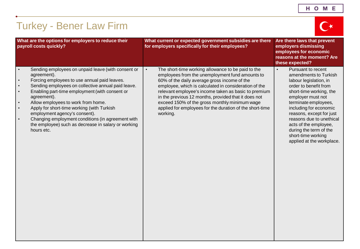<span id="page-41-0"></span>

| <b>Turkey - Bener Law Firm</b>                                                                                                                                                                                                                                                                                                                                                                                                                                                                                                                                        |                                                                                                                                                                                                                                                                                                                                                                                                                                                                      |                                                                                                                                                                                                                                                                                                                                                                             |
|-----------------------------------------------------------------------------------------------------------------------------------------------------------------------------------------------------------------------------------------------------------------------------------------------------------------------------------------------------------------------------------------------------------------------------------------------------------------------------------------------------------------------------------------------------------------------|----------------------------------------------------------------------------------------------------------------------------------------------------------------------------------------------------------------------------------------------------------------------------------------------------------------------------------------------------------------------------------------------------------------------------------------------------------------------|-----------------------------------------------------------------------------------------------------------------------------------------------------------------------------------------------------------------------------------------------------------------------------------------------------------------------------------------------------------------------------|
| What are the options for employers to reduce their<br>payroll costs quickly?                                                                                                                                                                                                                                                                                                                                                                                                                                                                                          | What current or expected government subsidies are there<br>for employers specifically for their employees?                                                                                                                                                                                                                                                                                                                                                           | Are there laws that prevent<br>employers dismissing<br>employees for economic<br>reasons at the moment? Are<br>these expected?                                                                                                                                                                                                                                              |
| Sending employees on unpaid leave (with consent or<br>$\bullet$<br>agreement).<br>Forcing employees to use annual paid leaves.<br>$\bullet$<br>Sending employees on collective annual paid leave.<br>$\bullet$<br>Enabling part-time employment (with consent or<br>$\bullet$<br>agreement).<br>Allow employees to work from home.<br>Apply for short-time working (with Turkish<br>$\bullet$<br>employment agency's consent).<br>Changing employment conditions (in agreement with<br>$\bullet$<br>the employee) such as decrease in salary or working<br>hours etc. | The short-time working allowance to be paid to the<br>$\bullet$<br>employees from the unemployment fund amounts to<br>60% of the daily average gross income of the<br>employee, which is calculated in consideration of the<br>relevant employee's income taken as basic to premium<br>in the previous 12 months, provided that it does not<br>exceed 150% of the gross monthly minimum wage<br>applied for employees for the duration of the short-time<br>working. | Pursuant to recent<br>$\bullet$<br>amendments to Turkish<br>labour legislation, in<br>order to benefit from<br>short-time working, the<br>employer must not<br>terminate employees,<br>including for economic<br>reasons, except for just<br>reasons due to unethical<br>acts of the employee,<br>during the term of the<br>short-time working<br>applied at the workplace. |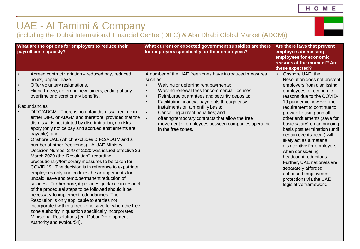HOME

# <span id="page-42-0"></span>UAE - Al Tamimi & Company

(including the Dubai International Financial Centre (DIFC) & Abu Dhabi Global Market (ADGM))

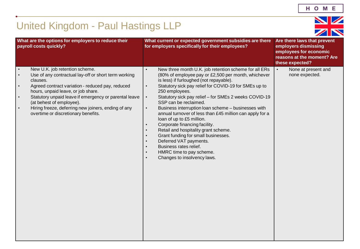# <span id="page-43-0"></span>United Kingdom - Paul Hastings LLP

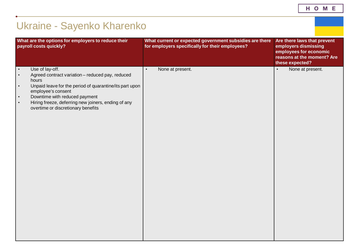<span id="page-44-0"></span>

| What are the options for employers to reduce their<br>payroll costs quickly?                                                                                                                                                                                                                                                                                 | What current or expected government subsidies are there<br>for employers specifically for their employees? | Are there laws that prevent<br>employers dismissing<br>employees for economic<br>reasons at the moment? Are<br>these expected? |
|--------------------------------------------------------------------------------------------------------------------------------------------------------------------------------------------------------------------------------------------------------------------------------------------------------------------------------------------------------------|------------------------------------------------------------------------------------------------------------|--------------------------------------------------------------------------------------------------------------------------------|
| Use of lay-off.<br>$\bullet$<br>Agreed contract variation - reduced pay, reduced<br>$\bullet$<br>hours<br>Unpaid leave for the period of quarantine/its part upon<br>$\bullet$<br>employee's consent<br>Downtime with reduced payment<br>$\bullet$<br>Hiring freeze, deferring new joiners, ending of any<br>$\bullet$<br>overtime or discretionary benefits | None at present.<br>$\bullet$                                                                              | None at present.<br>$\bullet$                                                                                                  |

HOME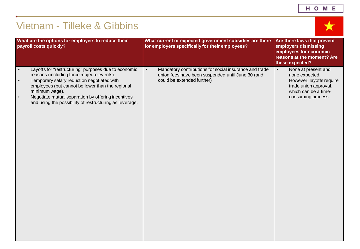| н<br>$\circ$<br>Е<br>М |
|------------------------|
|------------------------|

<span id="page-45-0"></span>

| <b>Vietnam - Tilleke &amp; Gibbins</b>                                                                                                                                                                                                                                                                                                                                        |                                                                                                                                                        |                                                                                                                                                       |  |
|-------------------------------------------------------------------------------------------------------------------------------------------------------------------------------------------------------------------------------------------------------------------------------------------------------------------------------------------------------------------------------|--------------------------------------------------------------------------------------------------------------------------------------------------------|-------------------------------------------------------------------------------------------------------------------------------------------------------|--|
| What are the options for employers to reduce their<br>payroll costs quickly?                                                                                                                                                                                                                                                                                                  | What current or expected government subsidies are there<br>for employers specifically for their employees?                                             | Are there laws that prevent<br>employers dismissing<br>employees for economic<br>reasons at the moment? Are<br>these expected?                        |  |
| Layoffs for "restructuring" purposes due to economic<br>$\bullet$<br>reasons (including force majeure events).<br>Temporary salary reduction negotiated with<br>$\bullet$<br>employees (but cannot be lower than the regional<br>minimum wage).<br>Negotiate mutual separation by offering incentives<br>$\bullet$<br>and using the possibility of restructuring as leverage. | Mandatory contributions for social insurance and trade<br>$\bullet$<br>union fees have been suspended until June 30 (and<br>could be extended further) | None at present and<br>$\bullet$<br>none expected.<br>However, layoffs require<br>trade union approval,<br>which can be a time-<br>consuming process. |  |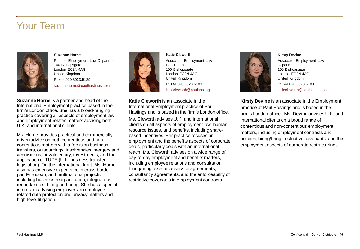### Your Team



#### **Suzanne Horne**

Partner, Employment Law Department 100 Bishopsgate London EC2N 4AG United Kingdom P: +44.020.3023.5129

**Suzanne Horne** is a partner and head of the International Employment practice based in the firm's London office. She has a broad-ranging practice covering all aspects of employment law suzannehorne@paulhastings.com

U.K. and international clients. Ms. Horne provides practical and commercially driven advice on both contentious and noncontentious matters with a focus on business transfers, outsourcings, insolvencies, mergers and acquisitions, private equity, investments, and the application of TUPE (U.K. business transfer legislation). On the international front, Ms. Horne also has extensive experience in cross-border, pan-European, and multinational projects including business reorganization, integrations, redundancies, hiring and firing. She has a special interest in advising employers on employee related data protection and privacy matters and high-level litigation.

and employment-related matters advising both



**Katie Cleworth** Associate, Employment Law Department 100 Bishopsgate London EC2N 4AG United Kingdom P: +44.020.3023.5183 katiecleworth@paulhastings.com

**Katie Cleworth** is an associate in the International Employment practice of Paul Hastings and is based in the firm's London office.

Ms. Cleworth advises U.K. and international clients on all aspects of employment law, human resource issues, and benefits, including sharebased incentives. Her practice focuses on employment and the benefits aspects of corporate deals, particularly deals with an international reach. Ms. Cleworth advises on a wide range of day-to-day employment and benefits matters, including employee relations and consultation, hiring/firing, executive service agreements, consultancy agreements, and the enforceability of restrictive covenants in employment contracts.



**Kirsty Devine** Associate, Employment Law **Department** 100 Bishopsgate London EC2N 4AG United Kingdom P: +44.020.3023.5183 katiecleworth@paulhastings.com

**Kirsty Devine** is an associate in the Employment practice at Paul Hastings and is based in the firm's London office. Ms. Devine advises U.K. and international clients on a broad range of contentious and non-contentious employment matters, including employment contracts and policies, hiring/firing, restrictive covenants, and the employment aspects of corporate restructurings.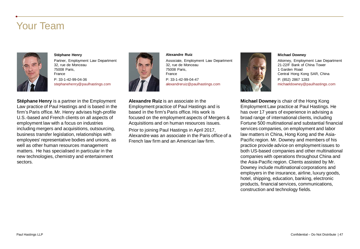### Your Team



#### **Stéphane Henry**

Partner, Employment Law Department 32, rue de Monceau 75008 Paris, France P: 33-1-42-99-04-36 stephanehenry@paulhastings.com

**Stéphane Henry** is a partner in the Employment Law practice of Paul Hastings and is based in the firm's Paris office. Mr. Henry advises high-profile U.S.-based and French clients on all aspects of employment law with a focus on industries including mergers and acquisitions, outsourcing, business transfer legislation, relationships with employees' representative bodies and unions, as well as other human resources management matters. He has specialised in particular in the new technologies, chemistry and entertainment sectors.



#### **Alexandre Ruiz**

Associate, Employment Law Department 32, rue de Monceau 75008 Paris, France P: 33-1-42-99-04-47 alexandreruiz@paulhastings.com

**Alexandre Ruiz** is an associate in the Employment practice of Paul Hastings and is based in the firm's Paris office. His work is focused on the employment aspects of Mergers & Acquisitions and on human resources issues. Prior to joining Paul Hastings in April 2017, Alexandre was an associate in the Paris office of a French law firm and an American law firm.



#### **Michael Downey**

Attorney, Employment Law Department 21-22/F Bank of China Tower 1 Garden Road Central Hong Kong SAR, China P: (852) 2867 1283 michaeldowney@paulhastings.com

**Michael Downey** is chair of the Hong Kong Employment Law practice at Paul Hastings. He has over 17 years of experience in advising a broad range of international clients, including Fortune 500 multinational and substantial financial services companies, on employment and labor law matters in China, Hong Kong and the Asia-Pacific region. Mr. Downey and members of his practice provide advice on employment issues to both US-based companies and other multinational companies with operations throughout China and the Asia-Pacific region. Clients assisted by Mr. Downey include multinational corporations and employers in the insurance, airline, luxury goods, hotel, shipping, education, banking, electronic products, financial services, communications, construction and technology fields.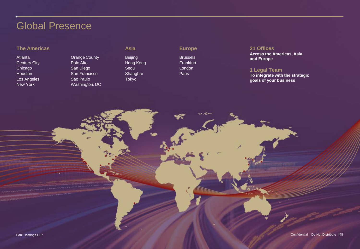### Global Presence

### **The Americas Asia Asia Europe**

Atlanta Century City Chicago Houston Los Angeles New York

Orange County Palo Alto San Diego San Francisco Sao Paulo Washington, DC

Beijing Hong Kong Seoul Shanghai Tokyo

Brussels **Frankfurt** London Paris

#### **21 Offices**

**Across the Americas, Asia, and Europe**

#### **1 Legal Team**

**To integrate with the strategic goals of your business**